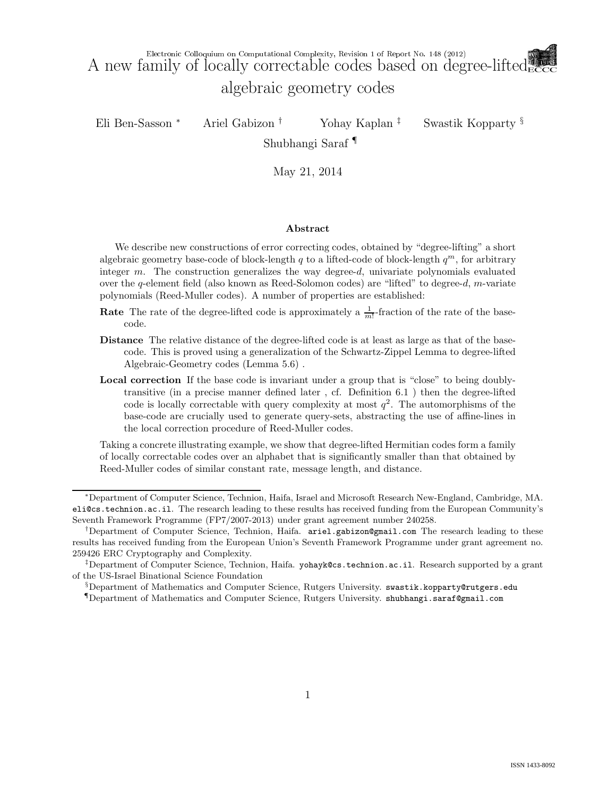Eli Ben-Sasson <sup>∗</sup> Ariel Gabizon † Yohay Kaplan ‡ Swastik Kopparty §

Shubhangi Saraf ¶

May 21, 2014

#### Abstract

We describe new constructions of error correcting codes, obtained by "degree-lifting" a short algebraic geometry base-code of block-length q to a lifted-code of block-length  $q^m$ , for arbitrary integer m. The construction generalizes the way degree-d, univariate polynomials evaluated over the q-element field (also known as Reed-Solomon codes) are "lifted" to degree-d, m-variate polynomials (Reed-Muller codes). A number of properties are established:

- **Rate** The rate of the degree-lifted code is approximately a  $\frac{1}{m!}$ -fraction of the rate of the basecode.
- Distance The relative distance of the degree-lifted code is at least as large as that of the basecode. This is proved using a generalization of the Schwartz-Zippel Lemma to degree-lifted Algebraic-Geometry codes (Lemma 5.6) .
- Local correction If the base code is invariant under a group that is "close" to being doublytransitive (in a precise manner defined later , cf. Definition 6.1 ) then the degree-lifted code is locally correctable with query complexity at most  $q^2$ . The automorphisms of the base-code are crucially used to generate query-sets, abstracting the use of affine-lines in the local correction procedure of Reed-Muller codes.

Taking a concrete illustrating example, we show that degree-lifted Hermitian codes form a family of locally correctable codes over an alphabet that is significantly smaller than that obtained by Reed-Muller codes of similar constant rate, message length, and distance.

§Department of Mathematics and Computer Science, Rutgers University. swastik.kopparty@rutgers.edu

¶Department of Mathematics and Computer Science, Rutgers University. shubhangi.saraf@gmail.com

<sup>∗</sup>Department of Computer Science, Technion, Haifa, Israel and Microsoft Research New-England, Cambridge, MA. eli@cs.technion.ac.il. The research leading to these results has received funding from the European Community's Seventh Framework Programme (FP7/2007-2013) under grant agreement number 240258.

<sup>&</sup>lt;sup>†</sup>Department of Computer Science, Technion, Haifa.  $arie1.gabizon \mathcal{Q}$ gmail.com The research leading to these results has received funding from the European Union's Seventh Framework Programme under grant agreement no. 259426 ERC Cryptography and Complexity.

<sup>‡</sup>Department of Computer Science, Technion, Haifa. yohayk@cs.technion.ac.il. Research supported by a grant of the US-Israel Binational Science Foundation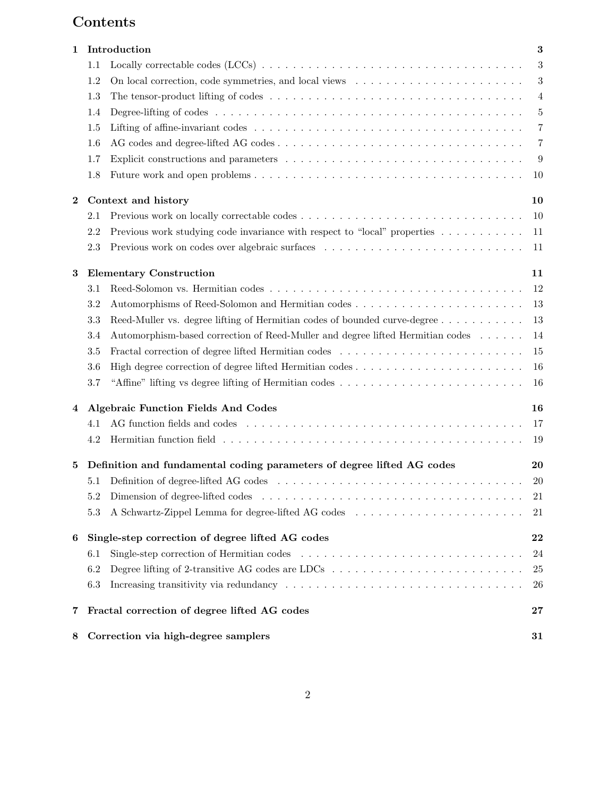# Contents

| 1        | Introduction                                                                                                                     | $\bf{3}$       |
|----------|----------------------------------------------------------------------------------------------------------------------------------|----------------|
|          | 1.1                                                                                                                              | 3              |
|          | 1.2                                                                                                                              | 3              |
|          | 1.3<br>The tensor-product lifting of codes $\dots \dots \dots \dots \dots \dots \dots \dots \dots \dots \dots \dots \dots \dots$ | $\overline{4}$ |
|          | 1.4                                                                                                                              | $5\,$          |
|          | 1.5                                                                                                                              | 7              |
|          | 1.6                                                                                                                              | $\overline{7}$ |
|          | 1.7                                                                                                                              | 9              |
|          | 1.8                                                                                                                              | 10             |
| $\bf{2}$ | Context and history                                                                                                              | 10             |
|          | 2.1                                                                                                                              | 10             |
|          | 2.2<br>Previous work studying code invariance with respect to "local" properties                                                 | 11             |
|          | 2.3                                                                                                                              | 11             |
| 3        | <b>Elementary Construction</b>                                                                                                   | 11             |
|          | 3.1                                                                                                                              | 12             |
|          | 3.2                                                                                                                              | 13             |
|          | 3.3<br>Reed-Muller vs. degree lifting of Hermitian codes of bounded curve-degree                                                 | 13             |
|          | Automorphism-based correction of Reed-Muller and degree lifted Hermitian codes<br>3.4                                            | 14             |
|          | Fractal correction of degree lifted Hermitian codes<br>3.5                                                                       | 15             |
|          | 3.6                                                                                                                              | 16             |
|          | "Affine" lifting vs degree lifting of Hermitian codes<br>3.7                                                                     | 16             |
| 4        | <b>Algebraic Function Fields And Codes</b>                                                                                       | 16             |
|          | 4.1                                                                                                                              | 17             |
|          | 4.2                                                                                                                              | 19             |
| 5        | Definition and fundamental coding parameters of degree lifted AG codes                                                           | 20             |
|          | 5.1                                                                                                                              | 20             |
|          | 5.2                                                                                                                              | 21             |
|          | 5.3                                                                                                                              | 21             |
| 6        | Single-step correction of degree lifted AG codes                                                                                 | 22             |
|          | Single-step correction of Hermitian codes<br>6.1                                                                                 | 24             |
|          | 6.2                                                                                                                              | 25             |
|          | 6.3                                                                                                                              | 26             |
| 7        | Fractal correction of degree lifted AG codes                                                                                     | $\bf{27}$      |
| 8        | Correction via high-degree samplers                                                                                              | 31             |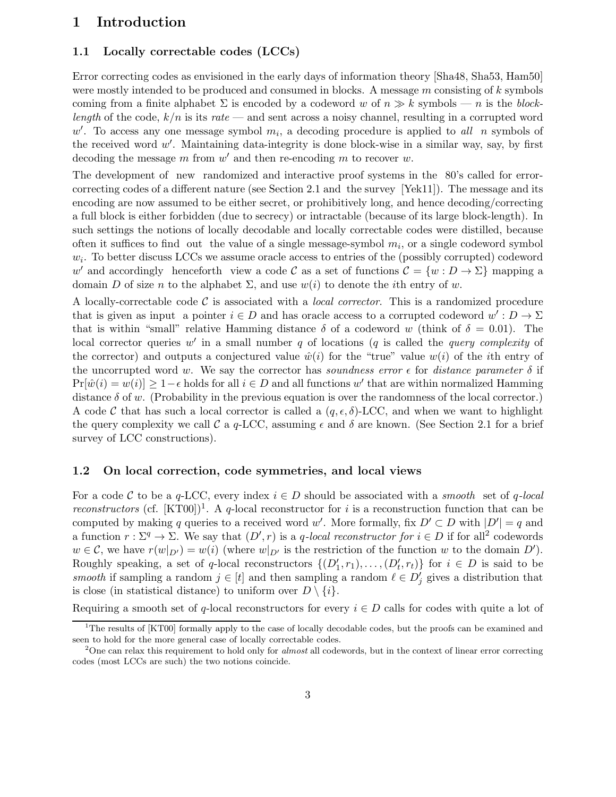## 1 Introduction

#### 1.1 Locally correctable codes (LCCs)

Error correcting codes as envisioned in the early days of information theory [Sha48, Sha53, Ham50] were mostly intended to be produced and consumed in blocks. A message m consisting of k symbols coming from a finite alphabet  $\Sigma$  is encoded by a codeword w of  $n \gg k$  symbols — n is the blocklength of the code,  $k/n$  is its rate — and sent across a noisy channel, resulting in a corrupted word  $w'$ . To access any one message symbol  $m_i$ , a decoding procedure is applied to all n symbols of the received word  $w'$ . Maintaining data-integrity is done block-wise in a similar way, say, by first decoding the message  $m$  from  $w'$  and then re-encoding  $m$  to recover  $w$ .

The development of new randomized and interactive proof systems in the 80's called for errorcorrecting codes of a different nature (see Section 2.1 and the survey [Yek11]). The message and its encoding are now assumed to be either secret, or prohibitively long, and hence decoding/correcting a full block is either forbidden (due to secrecy) or intractable (because of its large block-length). In such settings the notions of locally decodable and locally correctable codes were distilled, because often it suffices to find out the value of a single message-symbol  $m_i$ , or a single codeword symbol  $w_i$ . To better discuss LCCs we assume oracle access to entries of the (possibly corrupted) codeword w' and accordingly henceforth view a code C as a set of functions  $C = \{w : D \to \Sigma\}$  mapping a domain D of size n to the alphabet  $\Sigma$ , and use  $w(i)$  to denote the *i*th entry of w.

A locally-correctable code  $\mathcal C$  is associated with a *local corrector*. This is a randomized procedure that is given as input a pointer  $i \in D$  and has oracle access to a corrupted codeword  $w' : D \to \Sigma$ that is within "small" relative Hamming distance  $\delta$  of a codeword w (think of  $\delta = 0.01$ ). The local corrector queries  $w'$  in a small number q of locations (q is called the query complexity of the corrector) and outputs a conjectured value  $\hat{w}(i)$  for the "true" value  $w(i)$  of the *i*th entry of the uncorrupted word w. We say the corrector has soundness error  $\epsilon$  for distance parameter  $\delta$  if  $Pr[\hat{w}(i) = w(i)] \ge 1 - \epsilon$  holds for all  $i \in D$  and all functions w' that are within normalized Hamming distance  $\delta$  of w. (Probability in the previous equation is over the randomness of the local corrector.) A code C that has such a local corrector is called a  $(q, \epsilon, \delta)$ -LCC, and when we want to highlight the query complexity we call C a q-LCC, assuming  $\epsilon$  and  $\delta$  are known. (See Section 2.1 for a brief survey of LCC constructions).

#### 1.2 On local correction, code symmetries, and local views

For a code C to be a q-LCC, every index  $i \in D$  should be associated with a *smooth* set of q-local reconstructors (cf. [KT00])<sup>1</sup>. A q-local reconstructor for i is a reconstruction function that can be computed by making q queries to a received word w'. More formally, fix  $D' \subset D$  with  $|D'| = q$  and a function  $r : \Sigma^q \to \Sigma$ . We say that  $(D', r)$  is a q-local reconstructor for  $i \in D$  if for all<sup>2</sup> codewords  $w \in \mathcal{C}$ , we have  $r(w|_{D'}) = w(i)$  (where  $w|_{D'}$  is the restriction of the function w to the domain  $D'$ ). Roughly speaking, a set of q-local reconstructors  $\{(D'_1, r_1), \ldots, (D'_t, r_t)\}\;$  for  $i \in D$  is said to be smooth if sampling a random  $j \in [t]$  and then sampling a random  $\ell \in D'_j$  gives a distribution that is close (in statistical distance) to uniform over  $D \setminus \{i\}$ .

Requiring a smooth set of q-local reconstructors for every  $i \in D$  calls for codes with quite a lot of

 $1$ The results of [KT00] formally apply to the case of locally decodable codes, but the proofs can be examined and seen to hold for the more general case of locally correctable codes.

<sup>&</sup>lt;sup>2</sup>One can relax this requirement to hold only for *almost* all codewords, but in the context of linear error correcting codes (most LCCs are such) the two notions coincide.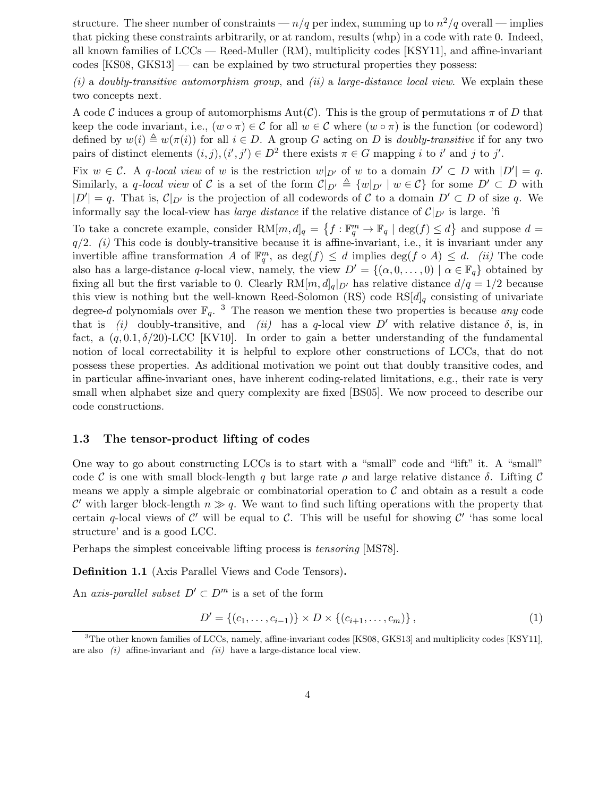structure. The sheer number of constraints —  $n/q$  per index, summing up to  $n^2/q$  overall — implies that picking these constraints arbitrarily, or at random, results (whp) in a code with rate 0. Indeed, all known families of LCCs — Reed-Muller (RM), multiplicity codes [KSY11], and affine-invariant  $\csc KS08$ ,  $\csc KS13$  — can be explained by two structural properties they possess:

 $(i)$  a doubly-transitive automorphism group, and  $(ii)$  a large-distance local view. We explain these two concepts next.

A code C induces a group of automorphisms  $Aut(\mathcal{C})$ . This is the group of permutations  $\pi$  of D that keep the code invariant, i.e.,  $(w \circ \pi) \in \mathcal{C}$  for all  $w \in \mathcal{C}$  where  $(w \circ \pi)$  is the function (or codeword) defined by  $w(i) \triangleq w(\pi(i))$  for all  $i \in D$ . A group G acting on D is *doubly-transitive* if for any two pairs of distinct elements  $(i, j), (i', j') \in D^2$  there exists  $\pi \in G$  mapping i to i' and j to j'.

Fix  $w \in \mathcal{C}$ . A q-local view of w is the restriction  $w|_{D'}$  of w to a domain  $D' \subset D$  with  $|D'| = q$ . Similarly, a q-local view of C is a set of the form  $\mathcal{C}|_{D'} \triangleq \{w|_{D'} | w \in \mathcal{C}\}\)$  for some  $D' \subset D$  with  $|D'| = q$ . That is,  $\mathcal{C}|_{D'}$  is the projection of all codewords of C to a domain  $D' \subset D$  of size q. We informally say the local-view has *large distance* if the relative distance of  $C|_{D'}$  is large. 'fi

To take a concrete example, consider  $RM[m, d]_q = \{f : \mathbb{F}_q^m \to \mathbb{F}_q \mid \deg(f) \leq d\}$  and suppose  $d =$  $q/2$ . (i) This code is doubly-transitive because it is affine-invariant, i.e., it is invariant under any invertible affine transformation A of  $\mathbb{F}_q^m$ , as  $\deg(f) \leq d$  implies  $\deg(f \circ A) \leq d$ . (ii) The code also has a large-distance q-local view, namely, the view  $D' = \{(\alpha, 0, \dots, 0) \mid \alpha \in \mathbb{F}_q\}$  obtained by fixing all but the first variable to 0. Clearly  $RM[m,d]_q|_{D'}$  has relative distance  $d/q = 1/2$  because this view is nothing but the well-known Reed-Solomon (RS) code  $RS[d]_q$  consisting of univariate degree-d polynomials over  $\mathbb{F}_q$ . <sup>3</sup> The reason we mention these two properties is because any code that is (i) doubly-transitive, and (ii) has a q-local view D' with relative distance  $\delta$ , is, in fact, a  $(q, 0.1, \delta/20)$ -LCC [KV10]. In order to gain a better understanding of the fundamental notion of local correctability it is helpful to explore other constructions of LCCs, that do not possess these properties. As additional motivation we point out that doubly transitive codes, and in particular affine-invariant ones, have inherent coding-related limitations, e.g., their rate is very small when alphabet size and query complexity are fixed [BS05]. We now proceed to describe our code constructions.

#### 1.3 The tensor-product lifting of codes

One way to go about constructing LCCs is to start with a "small" code and "lift" it. A "small" code C is one with small block-length q but large rate  $\rho$  and large relative distance  $\delta$ . Lifting C means we apply a simple algebraic or combinatorial operation to  $\mathcal C$  and obtain as a result a code C' with larger block-length  $n \gg q$ . We want to find such lifting operations with the property that certain q-local views of  $\mathcal{C}'$  will be equal to  $\mathcal{C}$ . This will be useful for showing  $\mathcal{C}'$  'has some local structure' and is a good LCC.

Perhaps the simplest conceivable lifting process is tensoring [MS78].

Definition 1.1 (Axis Parallel Views and Code Tensors).

An axis-parallel subset  $D' \subset D^m$  is a set of the form

$$
D' = \{(c_1, \ldots, c_{i-1})\} \times D \times \{(c_{i+1}, \ldots, c_m)\},
$$
\n(1)

<sup>3</sup>The other known families of LCCs, namely, affine-invariant codes [KS08, GKS13] and multiplicity codes [KSY11], are also (i) affine-invariant and (ii) have a large-distance local view.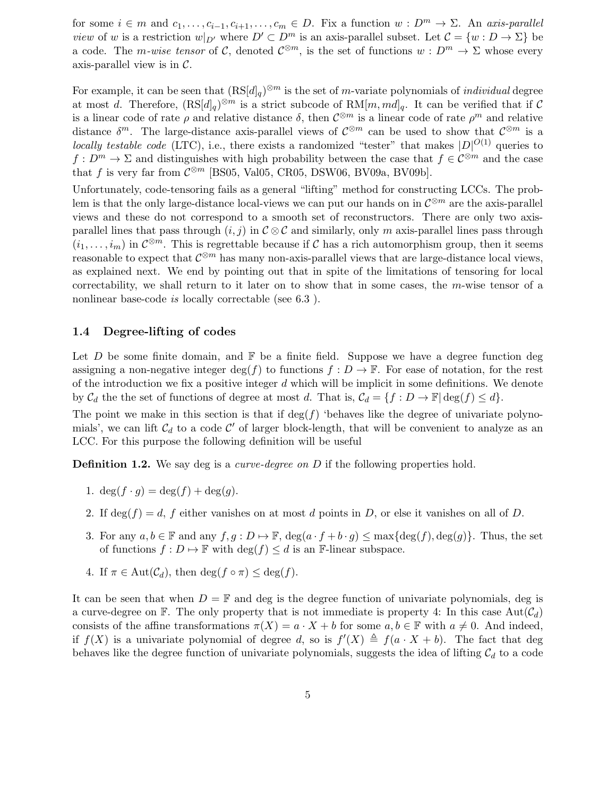for some  $i \in m$  and  $c_1, \ldots, c_{i-1}, c_{i+1}, \ldots, c_m \in D$ . Fix a function  $w : D^m \to \Sigma$ . An axis-parallel *view* of w is a restriction  $w|_{D'}$  where  $D' \subset D^m$  is an axis-parallel subset. Let  $\mathcal{C} = \{w : D \to \Sigma\}$  be a code. The *m-wise tensor* of C, denoted  $\mathcal{C}^{\otimes m}$ , is the set of functions  $w: D^m \to \Sigma$  whose every axis-parallel view is in  $\mathcal{C}$ .

For example, it can be seen that  $(RS[d]_q)^{\otimes m}$  is the set of m-variate polynomials of *individual* degree at most d. Therefore,  $(RS[d]_q)^{\otimes m}$  is a strict subcode of  $RM[m,md]_q$ . It can be verified that if C is a linear code of rate  $\rho$  and relative distance  $\delta$ , then  $\mathcal{C}^{\otimes m}$  is a linear code of rate  $\rho^m$  and relative distance  $\delta^m$ . The large-distance axis-parallel views of  $\mathcal{C}^{\otimes m}$  can be used to show that  $\mathcal{C}^{\otimes m}$  is a locally testable code (LTC), i.e., there exists a randomized "tester" that makes  $|D|^{O(1)}$  queries to  $f: D^m \to \Sigma$  and distinguishes with high probability between the case that  $f \in C^{\otimes m}$  and the case that f is very far from  $\mathcal{C}^{\otimes m}$  [BS05, Val05, CR05, DSW06, BV09a, BV09b].

Unfortunately, code-tensoring fails as a general "lifting" method for constructing LCCs. The problem is that the only large-distance local-views we can put our hands on in  $\mathcal{C}^{\otimes m}$  are the axis-parallel views and these do not correspond to a smooth set of reconstructors. There are only two axisparallel lines that pass through  $(i, j)$  in  $C \otimes C$  and similarly, only m axis-parallel lines pass through  $(i_1,\ldots,i_m)$  in  $\mathcal{C}^{\otimes m}$ . This is regrettable because if C has a rich automorphism group, then it seems reasonable to expect that  $\mathcal{C}^{\otimes m}$  has many non-axis-parallel views that are large-distance local views, as explained next. We end by pointing out that in spite of the limitations of tensoring for local correctability, we shall return to it later on to show that in some cases, the m-wise tensor of a nonlinear base-code *is* locally correctable (see 6.3).

#### 1.4 Degree-lifting of codes

Let D be some finite domain, and  $\mathbb F$  be a finite field. Suppose we have a degree function deg assigning a non-negative integer deg(f) to functions  $f: D \to \mathbb{F}$ . For ease of notation, for the rest of the introduction we fix a positive integer  $d$  which will be implicit in some definitions. We denote by  $\mathcal{C}_d$  the the set of functions of degree at most d. That is,  $\mathcal{C}_d = \{f : D \to \mathbb{F} \mid \deg(f) \leq d\}.$ 

The point we make in this section is that if  $deg(f)$  'behaves like the degree of univariate polynomials', we can lift  $C_d$  to a code  $C'$  of larger block-length, that will be convenient to analyze as an LCC. For this purpose the following definition will be useful

**Definition 1.2.** We say deg is a *curve-degree on D* if the following properties hold.

- 1.  $\deg(f \cdot g) = \deg(f) + \deg(g)$ .
- 2. If  $\deg(f) = d$ , f either vanishes on at most d points in D, or else it vanishes on all of D.
- 3. For any  $a, b \in \mathbb{F}$  and any  $f, g : D \mapsto \mathbb{F}$ ,  $\deg(a \cdot f + b \cdot g) \leq \max\{\deg(f), \deg(g)\}\$ . Thus, the set of functions  $f : D \mapsto \mathbb{F}$  with  $\deg(f) \leq d$  is an F-linear subspace.
- 4. If  $\pi \in \text{Aut}(\mathcal{C}_d)$ , then  $\deg(f \circ \pi) \leq \deg(f)$ .

It can be seen that when  $D = \mathbb{F}$  and deg is the degree function of univariate polynomials, deg is a curve-degree on  $\mathbb F$ . The only property that is not immediate is property 4: In this case  $Aut(\mathcal{C}_d)$ consists of the affine transformations  $\pi(X) = a \cdot X + b$  for some  $a, b \in \mathbb{F}$  with  $a \neq 0$ . And indeed, if  $f(X)$  is a univariate polynomial of degree d, so is  $f'(X) \triangleq f(a \cdot X + b)$ . The fact that deg behaves like the degree function of univariate polynomials, suggests the idea of lifting  $\mathcal{C}_d$  to a code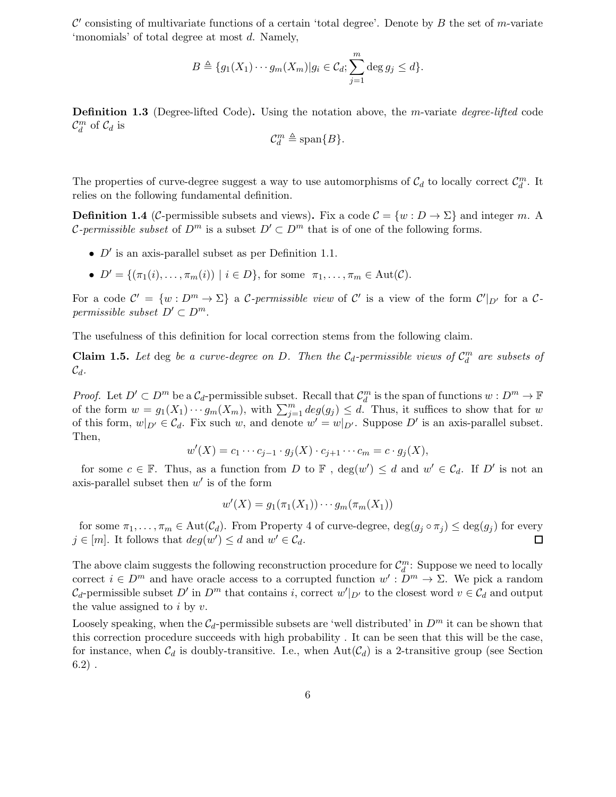$\mathcal{C}'$  consisting of multivariate functions of a certain 'total degree'. Denote by B the set of m-variate 'monomials' of total degree at most d. Namely,

$$
B \triangleq \{g_1(X_1)\cdots g_m(X_m)|g_i\in \mathcal{C}_d; \sum_{j=1}^m \deg g_j \leq d\}.
$$

**Definition 1.3** (Degree-lifted Code). Using the notation above, the m-variate *degree-lifted* code  $\mathcal{C}_d^m$  of  $\mathcal{C}_d$  is

$$
\mathcal{C}_d^m \triangleq \text{span}\{B\}.
$$

The properties of curve-degree suggest a way to use automorphisms of  $\mathcal{C}_d$  to locally correct  $\mathcal{C}_d^m$ . It relies on the following fundamental definition.

**Definition 1.4** (C-permissible subsets and views). Fix a code  $C = \{w : D \to \Sigma\}$  and integer m. A *C*-permissible subset of  $D^m$  is a subset  $D' \subset D^m$  that is of one of the following forms.

- $D'$  is an axis-parallel subset as per Definition 1.1.
- $D' = \{(\pi_1(i), \ldots, \pi_m(i)) \mid i \in D\}$ , for some  $\pi_1, \ldots, \pi_m \in \text{Aut}(\mathcal{C})$ .

For a code  $\mathcal{C}' = \{w : D^m \to \Sigma\}$  a C-permissible view of  $\mathcal{C}'$  is a view of the form  $\mathcal{C}'|_{D'}$  for a Cpermissible subset  $D' \subset D^m$ .

The usefulness of this definition for local correction stems from the following claim.

**Claim 1.5.** Let deg be a curve-degree on D. Then the  $C_d$ -permissible views of  $C_d^m$  are subsets of  $\mathcal{C}_d$ .

*Proof.* Let  $D' \subset D^m$  be a  $\mathcal{C}_d$ -permissible subset. Recall that  $\mathcal{C}_d^m$  is the span of functions  $w : D^m \to \mathbb{F}$ of the form  $w = g_1(X_1) \cdots g_m(X_m)$ , with  $\sum_{j=1}^m \deg(g_j) \leq d$ . Thus, it suffices to show that for w of this form,  $w|_{D'} \in \mathcal{C}_d$ . Fix such w, and denote  $w' = w|_{D'}$ . Suppose  $D'$  is an axis-parallel subset. Then,

$$
w'(X) = c_1 \cdots c_{j-1} \cdot g_j(X) \cdot c_{j+1} \cdots c_m = c \cdot g_j(X),
$$

for some  $c \in \mathbb{F}$ . Thus, as a function from D to  $\mathbb{F}$ ,  $deg(w') \leq d$  and  $w' \in C_d$ . If D' is not an axis-parallel subset then  $w'$  is of the form

$$
w'(X) = g_1(\pi_1(X_1)) \cdots g_m(\pi_m(X_1))
$$

for some  $\pi_1, \ldots, \pi_m \in \text{Aut}(\mathcal{C}_d)$ . From Property 4 of curve-degree,  $\deg(g_j \circ \pi_j) \leq \deg(g_j)$  for every  $\in [m]$ . It follows that  $\deg(w') \leq d$  and  $w' \in \mathcal{C}_d$ .  $j \in [m]$ . It follows that  $deg(w') \leq d$  and  $w' \in \mathcal{C}_d$ .

The above claim suggests the following reconstruction procedure for  $\mathcal{C}_d^m$ : Suppose we need to locally correct  $i \in D^m$  and have oracle access to a corrupted function  $w' : D^m \to \Sigma$ . We pick a random  $\mathcal{C}_d$ -permissible subset  $D'$  in  $D^m$  that contains i, correct  $w'|_{D'}$  to the closest word  $v \in \mathcal{C}_d$  and output the value assigned to  $i$  by  $v$ .

Loosely speaking, when the  $C_d$ -permissible subsets are 'well distributed' in  $D^m$  it can be shown that this correction procedure succeeds with high probability . It can be seen that this will be the case, for instance, when  $C_d$  is doubly-transitive. I.e., when  $Aut(C_d)$  is a 2-transitive group (see Section  $6.2)$ .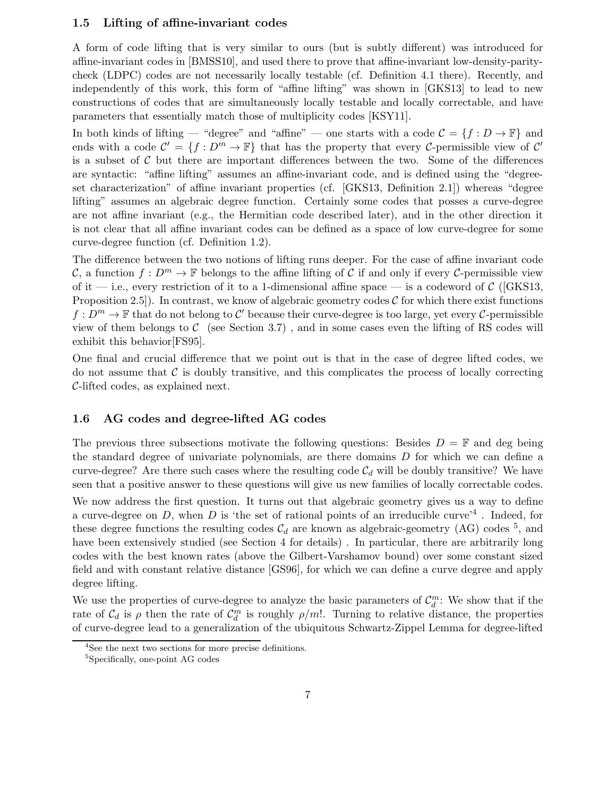#### 1.5 Lifting of affine-invariant codes

A form of code lifting that is very similar to ours (but is subtly different) was introduced for affine-invariant codes in [BMSS10], and used there to prove that affine-invariant low-density-paritycheck (LDPC) codes are not necessarily locally testable (cf. Definition 4.1 there). Recently, and independently of this work, this form of "affine lifting" was shown in [GKS13] to lead to new constructions of codes that are simultaneously locally testable and locally correctable, and have parameters that essentially match those of multiplicity codes [KSY11].

In both kinds of lifting — "degree" and "affine" — one starts with a code  $\mathcal{C} = \{f : D \to \mathbb{F}\}\$ and ends with a code  $\mathcal{C}' = \{f : D^m \to \mathbb{F}\}\$  that has the property that every C-permissible view of  $\mathcal{C}'$ is a subset of  $C$  but there are important differences between the two. Some of the differences are syntactic: "affine lifting" assumes an affine-invariant code, and is defined using the "degreeset characterization" of affine invariant properties (cf. [GKS13, Definition 2.1]) whereas "degree lifting" assumes an algebraic degree function. Certainly some codes that posses a curve-degree are not affine invariant (e.g., the Hermitian code described later), and in the other direction it is not clear that all affine invariant codes can be defined as a space of low curve-degree for some curve-degree function (cf. Definition 1.2).

The difference between the two notions of lifting runs deeper. For the case of affine invariant code C, a function  $f: D^m \to \mathbb{F}$  belongs to the affine lifting of C if and only if every C-permissible view of it — i.e., every restriction of it to a 1-dimensional affine space — is a codeword of  $\mathcal{C}$  ([GKS13, Proposition 2.5]). In contrast, we know of algebraic geometry codes  $\mathcal C$  for which there exist functions  $f: D^m \to \mathbb{F}$  that do not belong to  $\mathcal{C}'$  because their curve-degree is too large, yet every  $\mathcal{C}$ -permissible view of them belongs to  $\mathcal C$  (see Section 3.7), and in some cases even the lifting of RS codes will exhibit this behavior[FS95].

One final and crucial difference that we point out is that in the case of degree lifted codes, we do not assume that  $\mathcal C$  is doubly transitive, and this complicates the process of locally correcting C-lifted codes, as explained next.

#### 1.6 AG codes and degree-lifted AG codes

The previous three subsections motivate the following questions: Besides  $D = \mathbb{F}$  and deg being the standard degree of univariate polynomials, are there domains D for which we can define a curve-degree? Are there such cases where the resulting code  $C_d$  will be doubly transitive? We have seen that a positive answer to these questions will give us new families of locally correctable codes.

We now address the first question. It turns out that algebraic geometry gives us a way to define a curve-degree on D, when D is 'the set of rational points of an irreducible curve'<sup>4</sup>. Indeed, for these degree functions the resulting codes  $C_d$  are known as algebraic-geometry (AG) codes <sup>5</sup>, and have been extensively studied (see Section 4 for details) . In particular, there are arbitrarily long codes with the best known rates (above the Gilbert-Varshamov bound) over some constant sized field and with constant relative distance [GS96], for which we can define a curve degree and apply degree lifting.

We use the properties of curve-degree to analyze the basic parameters of  $\mathcal{C}_d^m$ : We show that if the rate of  $\mathcal{C}_d$  is  $\rho$  then the rate of  $\mathcal{C}_d^m$  is roughly  $\rho/m!$ . Turning to relative distance, the properties of curve-degree lead to a generalization of the ubiquitous Schwartz-Zippel Lemma for degree-lifted

<sup>4</sup> See the next two sections for more precise definitions.

<sup>5</sup>Specifically, one-point AG codes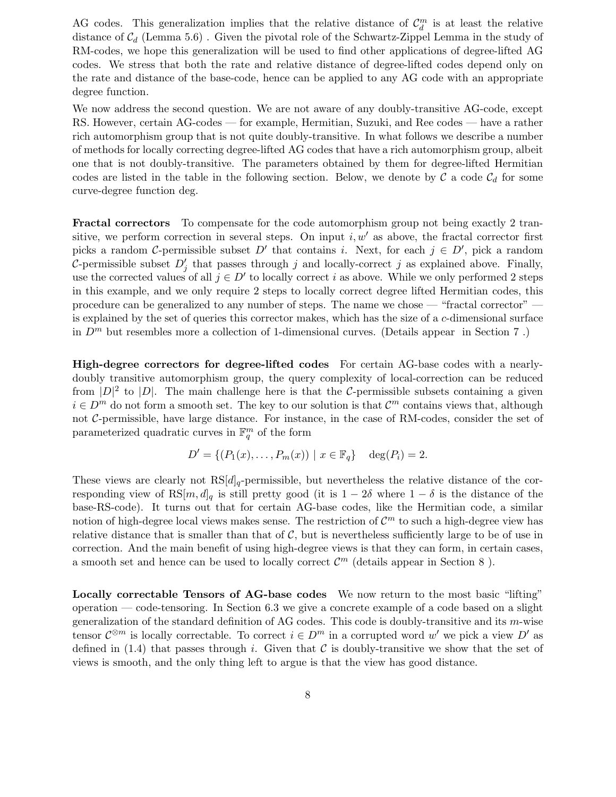AG codes. This generalization implies that the relative distance of  $\mathcal{C}_d^m$  is at least the relative distance of  $C_d$  (Lemma 5.6). Given the pivotal role of the Schwartz-Zippel Lemma in the study of RM-codes, we hope this generalization will be used to find other applications of degree-lifted AG codes. We stress that both the rate and relative distance of degree-lifted codes depend only on the rate and distance of the base-code, hence can be applied to any AG code with an appropriate degree function.

We now address the second question. We are not aware of any doubly-transitive AG-code, except RS. However, certain AG-codes — for example, Hermitian, Suzuki, and Ree codes — have a rather rich automorphism group that is not quite doubly-transitive. In what follows we describe a number of methods for locally correcting degree-lifted AG codes that have a rich automorphism group, albeit one that is not doubly-transitive. The parameters obtained by them for degree-lifted Hermitian codes are listed in the table in the following section. Below, we denote by  $\mathcal C$  a code  $\mathcal C_d$  for some curve-degree function deg.

Fractal correctors To compensate for the code automorphism group not being exactly 2 transitive, we perform correction in several steps. On input  $i, w'$  as above, the fractal corrector first picks a random C-permissible subset D' that contains i. Next, for each  $j \in D'$ , pick a random C-permissible subset  $D'_j$  that passes through j and locally-correct j as explained above. Finally, use the corrected values of all  $j \in D'$  to locally correct i as above. While we only performed 2 steps in this example, and we only require 2 steps to locally correct degree lifted Hermitian codes, this procedure can be generalized to any number of steps. The name we chose — "fractal corrector" is explained by the set of queries this corrector makes, which has the size of a c-dimensional surface in  $D<sup>m</sup>$  but resembles more a collection of 1-dimensional curves. (Details appear in Section 7.)

High-degree correctors for degree-lifted codes For certain AG-base codes with a nearlydoubly transitive automorphism group, the query complexity of local-correction can be reduced from  $|D|^2$  to  $|D|$ . The main challenge here is that the C-permissible subsets containing a given  $i \in D<sup>m</sup>$  do not form a smooth set. The key to our solution is that  $\mathcal{C}<sup>m</sup>$  contains views that, although not C-permissible, have large distance. For instance, in the case of RM-codes, consider the set of parameterized quadratic curves in  $\mathbb{F}_q^m$  of the form

$$
D' = \{ (P_1(x), \dots, P_m(x)) \mid x \in \mathbb{F}_q \} \text{ deg}(P_i) = 2.
$$

These views are clearly not  $RS[d]_q$ -permissible, but nevertheless the relative distance of the corresponding view of RS[m, d]<sub>q</sub> is still pretty good (it is  $1 - 2\delta$  where  $1 - \delta$  is the distance of the base-RS-code). It turns out that for certain AG-base codes, like the Hermitian code, a similar notion of high-degree local views makes sense. The restriction of  $\mathcal{C}^m$  to such a high-degree view has relative distance that is smaller than that of  $\mathcal{C}$ , but is nevertheless sufficiently large to be of use in correction. And the main benefit of using high-degree views is that they can form, in certain cases, a smooth set and hence can be used to locally correct  $\mathcal{C}^m$  (details appear in Section 8).

Locally correctable Tensors of AG-base codes We now return to the most basic "lifting" operation — code-tensoring. In Section 6.3 we give a concrete example of a code based on a slight generalization of the standard definition of AG codes. This code is doubly-transitive and its m-wise tensor  $\mathcal{C}^{\otimes m}$  is locally correctable. To correct  $i \in D^m$  in a corrupted word w' we pick a view  $D'$  as defined in (1.4) that passes through i. Given that  $\mathcal C$  is doubly-transitive we show that the set of views is smooth, and the only thing left to argue is that the view has good distance.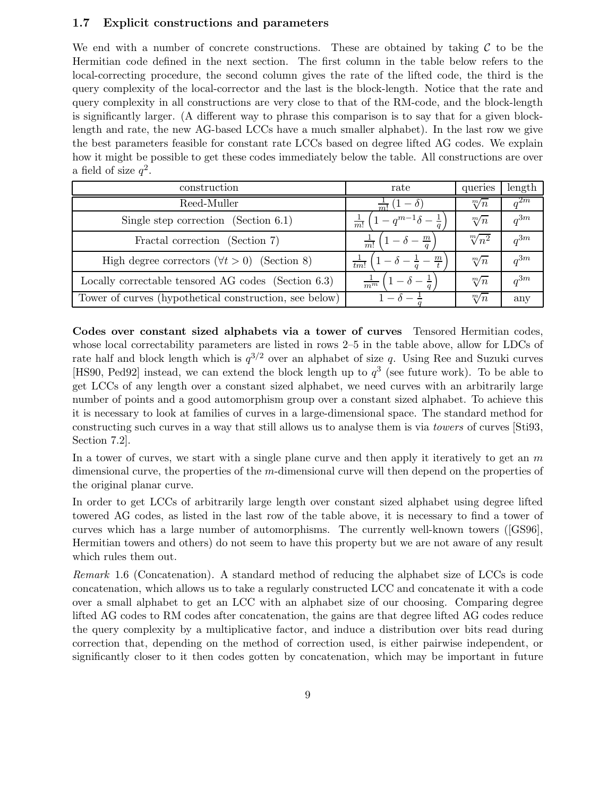#### 1.7 Explicit constructions and parameters

We end with a number of concrete constructions. These are obtained by taking  $\mathcal C$  to be the Hermitian code defined in the next section. The first column in the table below refers to the local-correcting procedure, the second column gives the rate of the lifted code, the third is the query complexity of the local-corrector and the last is the block-length. Notice that the rate and query complexity in all constructions are very close to that of the RM-code, and the block-length is significantly larger. (A different way to phrase this comparison is to say that for a given blocklength and rate, the new AG-based LCCs have a much smaller alphabet). In the last row we give the best parameters feasible for constant rate LCCs based on degree lifted AG codes. We explain how it might be possible to get these codes immediately below the table. All constructions are over a field of size  $q^2$ .

| construction                                           | rate                                              | queries         | length   |
|--------------------------------------------------------|---------------------------------------------------|-----------------|----------|
| Reed-Muller                                            | $1-\delta$ :                                      | $\sqrt[m]{n}$   | $a^{2m}$ |
| Single step correction (Section $6.1$ )                | $(1-q^{m-1}\delta-\frac{1}{q})$<br>$\frac{1}{m!}$ | $\sqrt[m]{n}$   | $a^{3m}$ |
| Fractal correction (Section 7)                         | $\mathbf{m}$<br>$\frac{1}{m!}$                    | $\sqrt[m]{n^2}$ | $a^{3m}$ |
| High degree correctors $(\forall t > 0)$ (Section 8)   | $\mathbf{m}$<br>t m!                              | $\sqrt[m]{n}$   | $a^{3m}$ |
| Locally correctable tensored AG codes (Section 6.3)    | $\overline{m^m}$                                  | $\sqrt[m]{n}$   | $a^{3m}$ |
| Tower of curves (hypothetical construction, see below) | $1 - \Delta -$                                    | $\sqrt[m]{n}$   | any      |

Codes over constant sized alphabets via a tower of curves Tensored Hermitian codes, whose local correctability parameters are listed in rows 2–5 in the table above, allow for LDCs of rate half and block length which is  $q^{3/2}$  over an alphabet of size q. Using Ree and Suzuki curves [HS90, Ped92] instead, we can extend the block length up to  $q^3$  (see future work). To be able to get LCCs of any length over a constant sized alphabet, we need curves with an arbitrarily large number of points and a good automorphism group over a constant sized alphabet. To achieve this it is necessary to look at families of curves in a large-dimensional space. The standard method for constructing such curves in a way that still allows us to analyse them is via towers of curves [Sti93, Section 7.2].

In a tower of curves, we start with a single plane curve and then apply it iteratively to get an  $m$ dimensional curve, the properties of the m-dimensional curve will then depend on the properties of the original planar curve.

In order to get LCCs of arbitrarily large length over constant sized alphabet using degree lifted towered AG codes, as listed in the last row of the table above, it is necessary to find a tower of curves which has a large number of automorphisms. The currently well-known towers ([GS96], Hermitian towers and others) do not seem to have this property but we are not aware of any result which rules them out.

Remark 1.6 (Concatenation). A standard method of reducing the alphabet size of LCCs is code concatenation, which allows us to take a regularly constructed LCC and concatenate it with a code over a small alphabet to get an LCC with an alphabet size of our choosing. Comparing degree lifted AG codes to RM codes after concatenation, the gains are that degree lifted AG codes reduce the query complexity by a multiplicative factor, and induce a distribution over bits read during correction that, depending on the method of correction used, is either pairwise independent, or significantly closer to it then codes gotten by concatenation, which may be important in future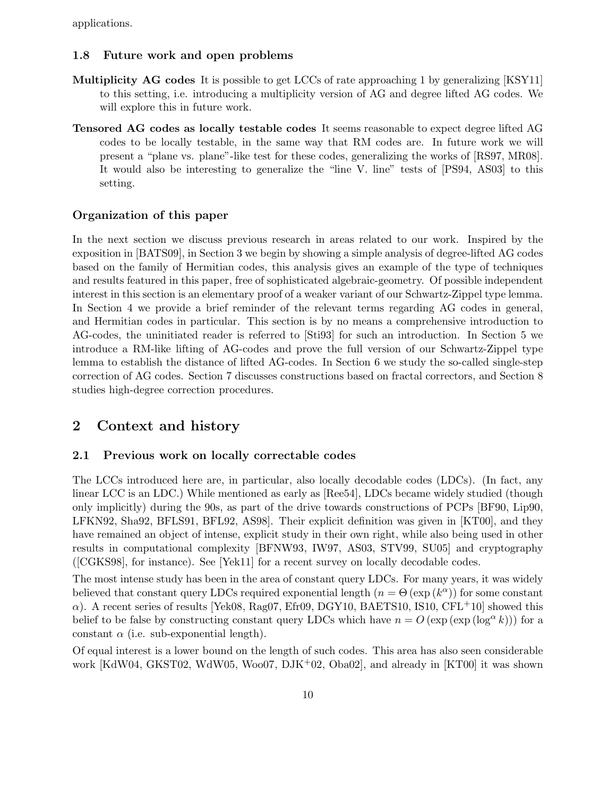applications.

#### 1.8 Future work and open problems

- Multiplicity AG codes It is possible to get LCCs of rate approaching 1 by generalizing [KSY11] to this setting, i.e. introducing a multiplicity version of AG and degree lifted AG codes. We will explore this in future work.
- Tensored AG codes as locally testable codes It seems reasonable to expect degree lifted AG codes to be locally testable, in the same way that RM codes are. In future work we will present a "plane vs. plane"-like test for these codes, generalizing the works of [RS97, MR08]. It would also be interesting to generalize the "line V. line" tests of [PS94, AS03] to this setting.

#### Organization of this paper

In the next section we discuss previous research in areas related to our work. Inspired by the exposition in [BATS09], in Section 3 we begin by showing a simple analysis of degree-lifted AG codes based on the family of Hermitian codes, this analysis gives an example of the type of techniques and results featured in this paper, free of sophisticated algebraic-geometry. Of possible independent interest in this section is an elementary proof of a weaker variant of our Schwartz-Zippel type lemma. In Section 4 we provide a brief reminder of the relevant terms regarding AG codes in general, and Hermitian codes in particular. This section is by no means a comprehensive introduction to AG-codes, the uninitiated reader is referred to [Sti93] for such an introduction. In Section 5 we introduce a RM-like lifting of AG-codes and prove the full version of our Schwartz-Zippel type lemma to establish the distance of lifted AG-codes. In Section 6 we study the so-called single-step correction of AG codes. Section 7 discusses constructions based on fractal correctors, and Section 8 studies high-degree correction procedures.

## 2 Context and history

#### 2.1 Previous work on locally correctable codes

The LCCs introduced here are, in particular, also locally decodable codes (LDCs). (In fact, any linear LCC is an LDC.) While mentioned as early as [Ree54], LDCs became widely studied (though only implicitly) during the 90s, as part of the drive towards constructions of PCPs [BF90, Lip90, LFKN92, Sha92, BFLS91, BFL92, AS98]. Their explicit definition was given in [KT00], and they have remained an object of intense, explicit study in their own right, while also being used in other results in computational complexity [BFNW93, IW97, AS03, STV99, SU05] and cryptography ([CGKS98], for instance). See [Yek11] for a recent survey on locally decodable codes.

The most intense study has been in the area of constant query LDCs. For many years, it was widely believed that constant query LDCs required exponential length  $(n = \Theta(\exp(k^{\alpha}))$  for some constant  $\alpha$ ). A recent series of results [Yek08, Rag07, Efr09, DGY10, BAETS10, IS10, CFL<sup>+</sup>10] showed this belief to be false by constructing constant query LDCs which have  $n = O(\exp(\exp(\log^{\alpha} k)))$  for a constant  $\alpha$  (i.e. sub-exponential length).

Of equal interest is a lower bound on the length of such codes. This area has also seen considerable work [KdW04, GKST02, WdW05, Woo07, DJK<sup>+</sup>02, Oba02], and already in [KT00] it was shown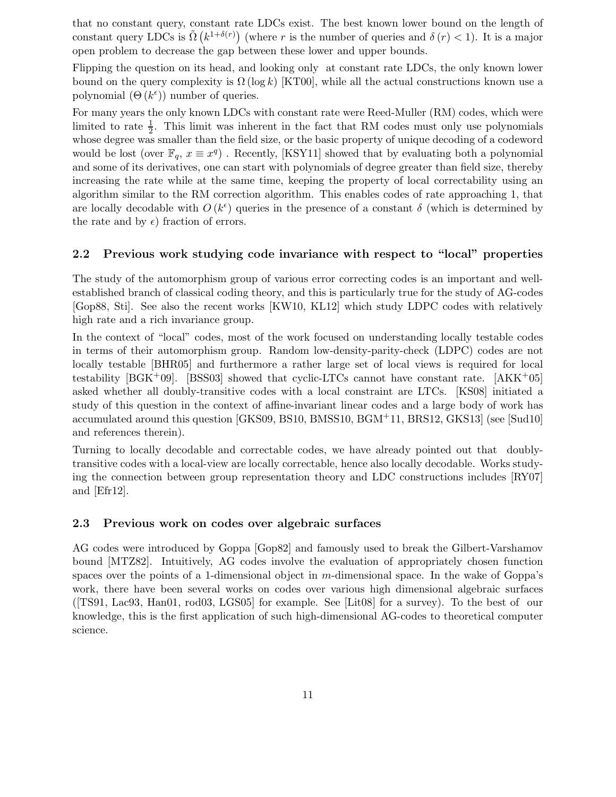that no constant query, constant rate LDCs exist. The best known lower bound on the length of constant query LDCs is  $\tilde{\Omega}(k^{1+\delta(r)})$  (where r is the number of queries and  $\delta(r) < 1$ ). It is a major open problem to decrease the gap between these lower and upper bounds.

Flipping the question on its head, and looking only at constant rate LDCs, the only known lower bound on the query complexity is  $\Omega(\log k)$  [KT00], while all the actual constructions known use a polynomial  $(\Theta(k^{\epsilon}))$  number of queries.

For many years the only known LDCs with constant rate were Reed-Muller (RM) codes, which were limited to rate  $\frac{1}{2}$ . This limit was inherent in the fact that RM codes must only use polynomials whose degree was smaller than the field size, or the basic property of unique decoding of a codeword would be lost (over  $\mathbb{F}_q$ ,  $x \equiv x^q$ ). Recently, [KSY11] showed that by evaluating both a polynomial and some of its derivatives, one can start with polynomials of degree greater than field size, thereby increasing the rate while at the same time, keeping the property of local correctability using an algorithm similar to the RM correction algorithm. This enables codes of rate approaching 1, that are locally decodable with  $O(k^{\epsilon})$  queries in the presence of a constant  $\delta$  (which is determined by the rate and by  $\epsilon$ ) fraction of errors.

#### 2.2 Previous work studying code invariance with respect to "local" properties

The study of the automorphism group of various error correcting codes is an important and wellestablished branch of classical coding theory, and this is particularly true for the study of AG-codes [Gop88, Sti]. See also the recent works [KW10, KL12] which study LDPC codes with relatively high rate and a rich invariance group.

In the context of "local" codes, most of the work focused on understanding locally testable codes in terms of their automorphism group. Random low-density-parity-check (LDPC) codes are not locally testable [BHR05] and furthermore a rather large set of local views is required for local testability [BGK+09]. [BSS03] showed that cyclic-LTCs cannot have constant rate.  $(AKK^+05]$ asked whether all doubly-transitive codes with a local constraint are LTCs. [KS08] initiated a study of this question in the context of affine-invariant linear codes and a large body of work has accumulated around this question [GKS09, BS10, BMSS10, BGM+11, BRS12, GKS13] (see [Sud10] and references therein).

Turning to locally decodable and correctable codes, we have already pointed out that doublytransitive codes with a local-view are locally correctable, hence also locally decodable. Works studying the connection between group representation theory and LDC constructions includes [RY07] and [Efr12].

#### 2.3 Previous work on codes over algebraic surfaces

AG codes were introduced by Goppa [Gop82] and famously used to break the Gilbert-Varshamov bound [MTZ82]. Intuitively, AG codes involve the evaluation of appropriately chosen function spaces over the points of a 1-dimensional object in  $m$ -dimensional space. In the wake of Goppa's work, there have been several works on codes over various high dimensional algebraic surfaces ([TS91, Lac93, Han01, rod03, LGS05] for example. See [Lit08] for a survey). To the best of our knowledge, this is the first application of such high-dimensional AG-codes to theoretical computer science.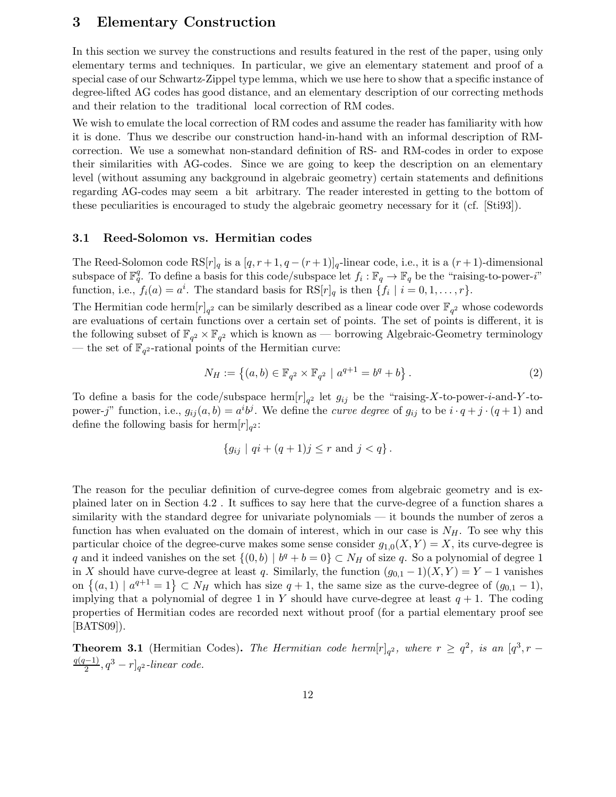## 3 Elementary Construction

In this section we survey the constructions and results featured in the rest of the paper, using only elementary terms and techniques. In particular, we give an elementary statement and proof of a special case of our Schwartz-Zippel type lemma, which we use here to show that a specific instance of degree-lifted AG codes has good distance, and an elementary description of our correcting methods and their relation to the traditional local correction of RM codes.

We wish to emulate the local correction of RM codes and assume the reader has familiarity with how it is done. Thus we describe our construction hand-in-hand with an informal description of RMcorrection. We use a somewhat non-standard definition of RS- and RM-codes in order to expose their similarities with AG-codes. Since we are going to keep the description on an elementary level (without assuming any background in algebraic geometry) certain statements and definitions regarding AG-codes may seem a bit arbitrary. The reader interested in getting to the bottom of these peculiarities is encouraged to study the algebraic geometry necessary for it (cf. [Sti93]).

#### 3.1 Reed-Solomon vs. Hermitian codes

The Reed-Solomon code  $RS[r]_q$  is a  $[q, r+1, q - (r+1)]_q$ -linear code, i.e., it is a  $(r+1)$ -dimensional subspace of  $\mathbb{F}_q^q$ . To define a basis for this code/subspace let  $f_i : \mathbb{F}_q \to \mathbb{F}_q$  be the "raising-to-power-i" function, i.e.,  $f_i(a) = a^i$ . The standard basis for  $\text{RS}[r]_q$  is then  $\{f_i \mid i = 0, 1, ..., r\}$ .

The Hermitian code herm  $[r]_{q^2}$  can be similarly described as a linear code over  $\mathbb{F}_{q^2}$  whose codewords are evaluations of certain functions over a certain set of points. The set of points is different, it is the following subset of  $\mathbb{F}_{q^2} \times \mathbb{F}_{q^2}$  which is known as — borrowing Algebraic-Geometry terminology — the set of  $\mathbb{F}_{q^2}$ -rational points of the Hermitian curve:

$$
N_H := \left\{ (a, b) \in \mathbb{F}_{q^2} \times \mathbb{F}_{q^2} \mid a^{q+1} = b^q + b \right\}.
$$
 (2)

To define a basis for the code/subspace herm  $[r]_{q^2}$  let  $g_{ij}$  be the "raising-X-to-power-*i*-and-Y-topower-j" function, i.e.,  $g_{ij}(a, b) = a^i b^j$ . We define the *curve degree* of  $g_{ij}$  to be  $i \cdot q + j \cdot (q + 1)$  and define the following basis for  $\text{herm}[r]_{q^2}$ :

$$
\{g_{ij} \mid qi + (q+1)j \le r \text{ and } j < q\}.
$$

The reason for the peculiar definition of curve-degree comes from algebraic geometry and is explained later on in Section 4.2 . It suffices to say here that the curve-degree of a function shares a similarity with the standard degree for univariate polynomials — it bounds the number of zeros a function has when evaluated on the domain of interest, which in our case is  $N_H$ . To see why this particular choice of the degree-curve makes some sense consider  $g_{1,0}(X, Y) = X$ , its curve-degree is q and it indeed vanishes on the set  $\{(0,b) | b^q + b = 0\} \subset N_H$  of size q. So a polynomial of degree 1 in X should have curve-degree at least q. Similarly, the function  $(g_{0,1} - 1)(X, Y) = Y - 1$  vanishes on  $\{(a,1) | a^{q+1}=1\} \subset N_H$  which has size  $q+1$ , the same size as the curve-degree of  $(g_{0,1}-1)$ , implying that a polynomial of degree 1 in Y should have curve-degree at least  $q + 1$ . The coding properties of Hermitian codes are recorded next without proof (for a partial elementary proof see [BATS09]).

**Theorem 3.1** (Hermitian Codes). The Hermitian code herm $[r]_{q^2}$ , where  $r \geq q^2$ , is an  $[q^3, r$  $q(q-1)$  $\frac{(-1)}{2}, q^3 - r]_{q^2}$ -linear code.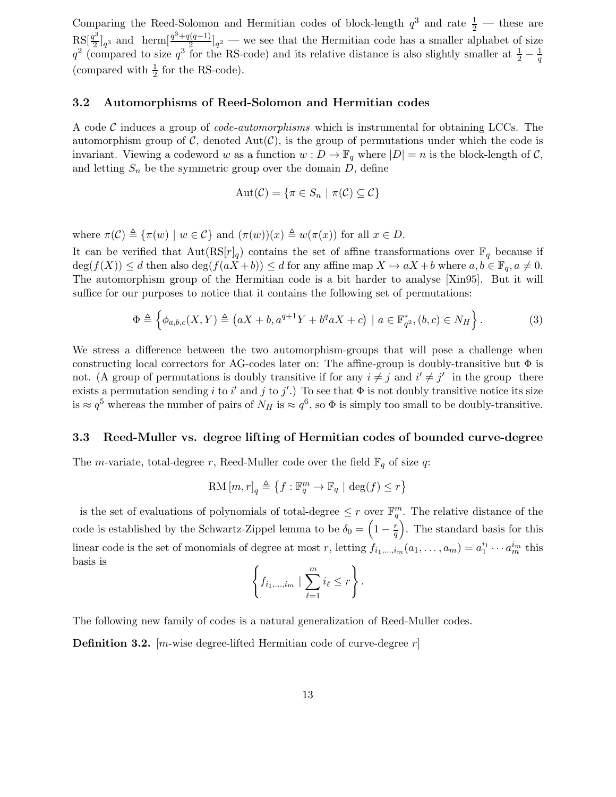Comparing the Reed-Solomon and Hermitian codes of block-length  $q^3$  and rate  $\frac{1}{2}$  — these are  $RS[\frac{q^3}{2}]$  $\frac{q^3}{2}$ <sub>q</sub><sup>3</sup> and herm $\left[\frac{q^3+q(q-1)}{2}\right]$  $\frac{2}{2}$   $\frac{2}{2}$  – we see that the Hermitian code has a smaller alphabet of size  $q^2$  (compared to size  $q^3$  for the RS-code) and its relative distance is also slightly smaller at  $\frac{1}{2} - \frac{1}{q}$ q (compared with  $\frac{1}{2}$  for the RS-code).

#### 3.2 Automorphisms of Reed-Solomon and Hermitian codes

A code C induces a group of *code-automorphisms* which is instrumental for obtaining LCCs. The automorphism group of  $\mathcal{C}$ , denoted  $Aut(\mathcal{C})$ , is the group of permutations under which the code is invariant. Viewing a codeword w as a function  $w : D \to \mathbb{F}_q$  where  $|D| = n$  is the block-length of C, and letting  $S_n$  be the symmetric group over the domain D, define

$$
Aut(\mathcal{C}) = \{ \pi \in S_n \mid \pi(\mathcal{C}) \subseteq \mathcal{C} \}
$$

where  $\pi(\mathcal{C}) \triangleq {\pi(w) | w \in \mathcal{C}}$  and  $(\pi(w))(x) \triangleq w(\pi(x))$  for all  $x \in D$ .

It can be verified that  $Aut(RS[r]_q)$  contains the set of affine transformations over  $\mathbb{F}_q$  because if  $\deg(f(X)) \leq d$  then also  $\deg(f(aX + b)) \leq d$  for any affine map  $X \mapsto aX + b$  where  $a, b \in \mathbb{F}_q, a \neq 0$ . The automorphism group of the Hermitian code is a bit harder to analyse [Xin95]. But it will suffice for our purposes to notice that it contains the following set of permutations:

$$
\Phi \triangleq \left\{ \phi_{a,b,c}(X,Y) \triangleq \left( aX + b, a^{q+1}Y + b^q aX + c \right) \mid a \in \mathbb{F}_{q^2}^*, (b,c) \in N_H \right\}.
$$
 (3)

We stress a difference between the two automorphism-groups that will pose a challenge when constructing local correctors for AG-codes later on: The affine-group is doubly-transitive but  $\Phi$  is not. (A group of permutations is doubly transitive if for any  $i \neq j$  and  $i' \neq j'$  in the group there exists a permutation sending i to i' and j to j'.) To see that  $\Phi$  is not doubly transitive notice its size is  $\approx q^5$  whereas the number of pairs of  $N_H$  is  $\approx q^6$ , so  $\Phi$  is simply too small to be doubly-transitive.

#### 3.3 Reed-Muller vs. degree lifting of Hermitian codes of bounded curve-degree

The *m*-variate, total-degree r, Reed-Muller code over the field  $\mathbb{F}_q$  of size q:

$$
{\rm RM}\,[m,r]_q \triangleq \left\{f: \mathbb{F}_q^m \to \mathbb{F}_q \ | \ \deg(f) \leq r \right\}
$$

is the set of evaluations of polynomials of total-degree  $\leq r$  over  $\mathbb{F}_q^m$ . The relative distance of the code is established by the Schwartz-Zippel lemma to be  $\delta_0 = \left(1 - \frac{r}{q}\right)$  $\left(\frac{r}{q}\right)$ . The standard basis for this linear code is the set of monomials of degree at most r, letting  $f_{i_1,\dots,i_m}(a_1,\dots,a_m) = a_1^{i_1}\cdots a_m^{i_m}$  this basis is

$$
\left\{f_{i_1,\dots,i_m} \mid \sum_{\ell=1}^m i_\ell \leq r\right\}.
$$

The following new family of codes is a natural generalization of Reed-Muller codes.

**Definition 3.2.** [m-wise degree-lifted Hermitian code of curve-degree  $r$ ]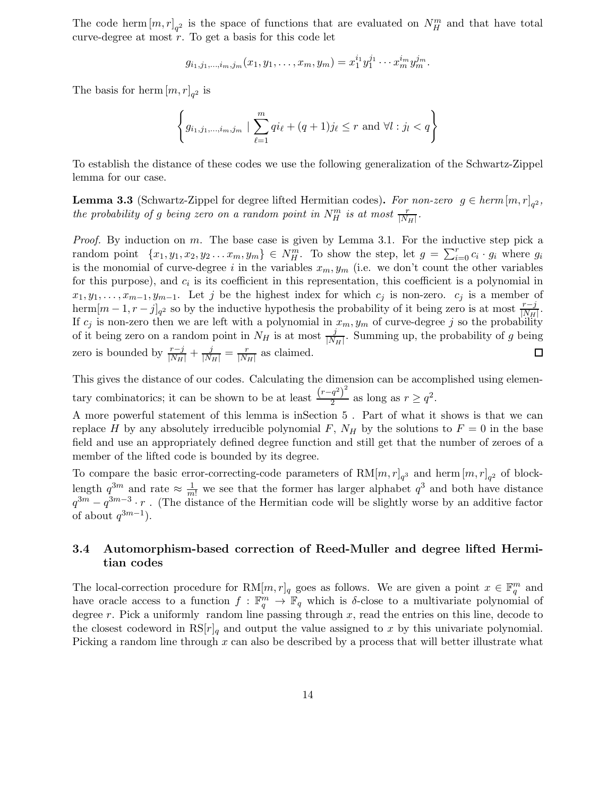The code herm  $[m,r]_{q^2}$  is the space of functions that are evaluated on  $N_H^m$  and that have total curve-degree at most  $r$ . To get a basis for this code let

$$
g_{i_1,j_1,\ldots,i_m,j_m}(x_1,y_1,\ldots,x_m,y_m)=x_1^{i_1}y_1^{j_1}\cdots x_m^{i_m}y_m^{j_m}.
$$

The basis for herm  $[m,r]_{q^2}$  is

$$
\left\{ g_{i_1, j_1, \dots, i_m, j_m} \mid \sum_{\ell=1}^m q i_\ell + (q+1) j_\ell \le r \text{ and } \forall l : j_l < q \right\}
$$

To establish the distance of these codes we use the following generalization of the Schwartz-Zippel lemma for our case.

**Lemma 3.3** (Schwartz-Zippel for degree lifted Hermitian codes). For non-zero  $g \in \text{herm}[m,r]_{q^2}$ , the probability of g being zero on a random point in  $N_H^m$  is at most  $\frac{r}{|N_H|}$ .

*Proof.* By induction on  $m$ . The base case is given by Lemma 3.1. For the inductive step pick a random point  $\{x_1, y_1, x_2, y_2 \ldots x_m, y_m\} \in N_H^m$ . To show the step, let  $g = \sum_{i=0}^r c_i \cdot g_i$  where  $g_i$ is the monomial of curve-degree i in the variables  $x_m, y_m$  (i.e. we don't count the other variables for this purpose), and  $c_i$  is its coefficient in this representation, this coefficient is a polynomial in  $x_1, y_1, \ldots, x_{m-1}, y_{m-1}$ . Let j be the highest index for which  $c_j$  is non-zero.  $c_j$  is a member of herm $[m-1, r-j]_{q^2}$  so by the inductive hypothesis the probability of it being zero is at most  $\frac{r-j}{|N_H|}$ . If  $c_j$  is non-zero then we are left with a polynomial in  $x_m, y_m$  of curve-degree j so the probability of it being zero on a random point in  $N_H$  is at most  $\frac{j}{|N_H|}$ . Summing up, the probability of g being zero is bounded by  $\frac{r-j}{|N_H|} + \frac{j}{|N_H|} = \frac{r}{|N_H|}$  $\frac{r}{|N_H|}$  as claimed.  $\Box$ 

This gives the distance of our codes. Calculating the dimension can be accomplished using elementary combinatorics; it can be shown to be at least  $\frac{(r-q^2)^2}{2}$  $\frac{q^2}{2}$  as long as  $r \geq q^2$ .

A more powerful statement of this lemma is inSection 5 . Part of what it shows is that we can replace H by any absolutely irreducible polynomial F,  $N_H$  by the solutions to  $F = 0$  in the base field and use an appropriately defined degree function and still get that the number of zeroes of a member of the lifted code is bounded by its degree.

To compare the basic error-correcting-code parameters of  $RM[m,r]_{q^3}$  and herm  $[m,r]_{q^2}$  of blocklength  $q^{3m}$  and rate  $\approx \frac{1}{m!}$  we see that the former has larger alphabet  $q^3$  and both have distance  $q^{3m} - q^{3m-3} \cdot r$ . (The distance of the Hermitian code will be slightly worse by an additive factor of about  $q^{3m-1}$ ).

## 3.4 Automorphism-based correction of Reed-Muller and degree lifted Hermitian codes

The local-correction procedure for  $\text{RM}[m, r]_q$  goes as follows. We are given a point  $x \in \mathbb{F}_q^m$  and have oracle access to a function  $f : \mathbb{F}_q^m \to \mathbb{F}_q$  which is  $\delta$ -close to a multivariate polynomial of degree r. Pick a uniformly random line passing through  $x$ , read the entries on this line, decode to the closest codeword in  $\text{RS}[r]_q$  and output the value assigned to x by this univariate polynomial. Picking a random line through  $x$  can also be described by a process that will better illustrate what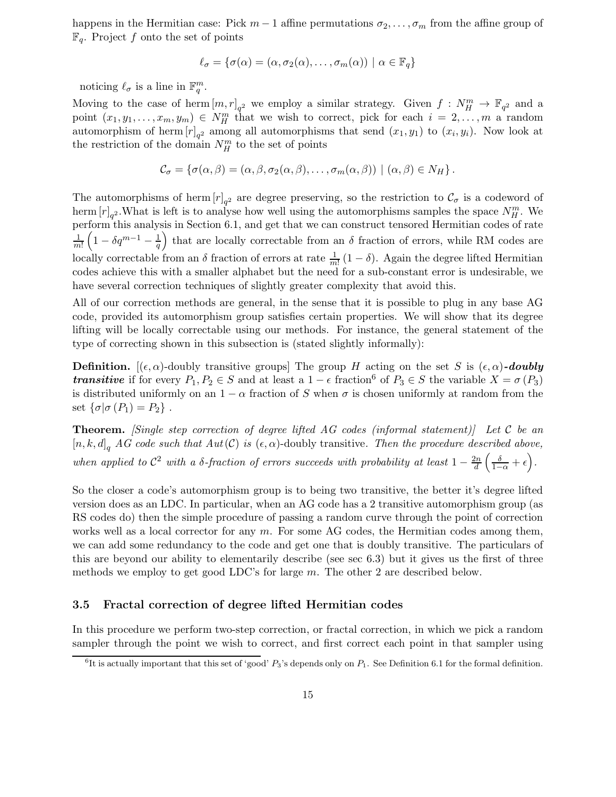happens in the Hermitian case: Pick  $m-1$  affine permutations  $\sigma_2, \ldots, \sigma_m$  from the affine group of  $\mathbb{F}_q$ . Project f onto the set of points

$$
\ell_{\sigma} = \{ \sigma(\alpha) = (\alpha, \sigma_2(\alpha), \dots, \sigma_m(\alpha)) \mid \alpha \in \mathbb{F}_q \}
$$

noticing  $\ell_{\sigma}$  is a line in  $\mathbb{F}_q^m$ .

Moving to the case of herm  $[m,r]_{q^2}$  we employ a similar strategy. Given  $f: N_H^m \to \mathbb{F}_{q^2}$  and a point  $(x_1, y_1, \ldots, x_m, y_m) \in N_H^m$  that we wish to correct, pick for each  $i = 2, \ldots, m$  a random automorphism of herm  $[r]_{q^2}$  among all automorphisms that send  $(x_1, y_1)$  to  $(x_i, y_i)$ . Now look at the restriction of the domain  $N_H^m$  to the set of points

$$
\mathcal{C}_{\sigma} = \{ \sigma(\alpha, \beta) = (\alpha, \beta, \sigma_2(\alpha, \beta), \ldots, \sigma_m(\alpha, \beta)) \mid (\alpha, \beta) \in N_H \}.
$$

The automorphisms of herm  $[r]_{q^2}$  are degree preserving, so the restriction to  $\mathcal{C}_{\sigma}$  is a codeword of herm  $[r]_{q^2}$ . What is left is to analyse how well using the automorphisms samples the space  $N_H^m$ . We perform this analysis in Section 6.1, and get that we can construct tensored Hermitian codes of rate 1  $\frac{1}{m!}\left(1-\delta q^{m-1}-\frac{1}{q}\right)$  $\frac{1}{q}$ ) that are locally correctable from an  $\delta$  fraction of errors, while RM codes are locally correctable from an  $\delta$  fraction of errors at rate  $\frac{1}{m!}(1-\delta)$ . Again the degree lifted Hermitian codes achieve this with a smaller alphabet but the need for a sub-constant error is undesirable, we have several correction techniques of slightly greater complexity that avoid this.

All of our correction methods are general, in the sense that it is possible to plug in any base AG code, provided its automorphism group satisfies certain properties. We will show that its degree lifting will be locally correctable using our methods. For instance, the general statement of the type of correcting shown in this subsection is (stated slightly informally):

**Definition.**  $[(\epsilon, \alpha)$ -doubly transitive groups] The group H acting on the set S is  $(\epsilon, \alpha)$ -doubly **transitive** if for every  $P_1, P_2 \in S$  and at least a  $1 - \epsilon$  fraction<sup>6</sup> of  $P_3 \in S$  the variable  $X = \sigma(P_3)$ is distributed uniformly on an  $1 - \alpha$  fraction of S when  $\sigma$  is chosen uniformly at random from the set  $\{\sigma | \sigma (P_1) = P_2\}$ .

**Theorem.** [Single step correction of degree lifted AG codes (informal statement)] Let C be an  $[n, k, d]_q$  AG code such that  $Aut(\mathcal{C})$  is  $(\epsilon, \alpha)$ -doubly transitive. Then the procedure described above, when applied to  $\mathcal{C}^2$  with a  $\delta$ -fraction of errors succeeds with probability at least  $1-\frac{2n}{d}$  $\frac{\partial n}{\partial d}\left(\frac{\delta}{1-\alpha}+\epsilon\right).$ 

So the closer a code's automorphism group is to being two transitive, the better it's degree lifted version does as an LDC. In particular, when an AG code has a 2 transitive automorphism group (as RS codes do) then the simple procedure of passing a random curve through the point of correction works well as a local corrector for any  $m$ . For some AG codes, the Hermitian codes among them, we can add some redundancy to the code and get one that is doubly transitive. The particulars of this are beyond our ability to elementarily describe (see sec 6.3) but it gives us the first of three methods we employ to get good LDC's for large m. The other 2 are described below.

#### 3.5 Fractal correction of degree lifted Hermitian codes

In this procedure we perform two-step correction, or fractal correction, in which we pick a random sampler through the point we wish to correct, and first correct each point in that sampler using

<sup>&</sup>lt;sup>6</sup>It is actually important that this set of 'good'  $P_3$ 's depends only on  $P_1$ . See Definition 6.1 for the formal definition.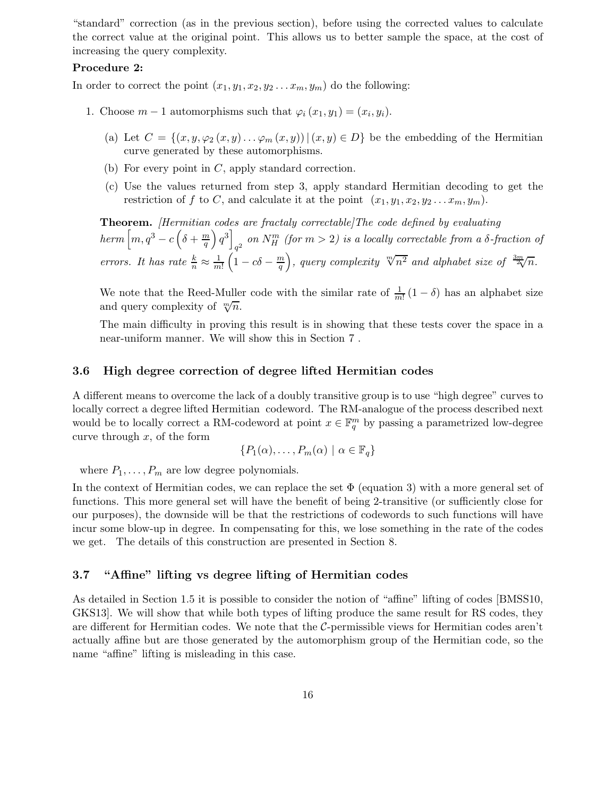"standard" correction (as in the previous section), before using the corrected values to calculate the correct value at the original point. This allows us to better sample the space, at the cost of increasing the query complexity.

#### Procedure 2:

In order to correct the point  $(x_1, y_1, x_2, y_2 \ldots x_m, y_m)$  do the following:

- 1. Choose  $m-1$  automorphisms such that  $\varphi_i(x_1, y_1) = (x_i, y_i)$ .
	- (a) Let  $C = \{(x, y, \varphi_2(x, y), \ldots, \varphi_m(x, y)) | (x, y) \in D\}$  be the embedding of the Hermitian curve generated by these automorphisms.
	- (b) For every point in  $C$ , apply standard correction.
	- (c) Use the values returned from step 3, apply standard Hermitian decoding to get the restriction of f to C, and calculate it at the point  $(x_1, y_1, x_2, y_2 \ldots x_m, y_m)$ .

Theorem. [Hermitian codes are fractaly correctable]The code defined by evaluating  $\hbar e\tau m\left[m,q^3-c\left(\delta+{m\over q}\right)\right]$  $\left[\frac{m}{q}\right)q^3\right]$ on  $N_H^m$  (for  $m > 2$ ) is a locally correctable from a  $\delta$ -fraction of errors. It has rate  $\frac{k}{n} \approx \frac{1}{m}$  $\frac{1}{m!}\left(1-c\delta-\frac{m}{q}\right)$  $\left(\frac{m}{q}\right)$ , query complexity  $\sqrt[m]{n^2}$  and alphabet size of  $\frac{3m}{2\sqrt{n}}$ .

We note that the Reed-Muller code with the similar rate of  $\frac{1}{m!} (1 - \delta)$  has an alphabet size and query complexity of  $\sqrt[m]{n}$ .

The main difficulty in proving this result is in showing that these tests cover the space in a near-uniform manner. We will show this in Section 7 .

#### 3.6 High degree correction of degree lifted Hermitian codes

A different means to overcome the lack of a doubly transitive group is to use "high degree" curves to locally correct a degree lifted Hermitian codeword. The RM-analogue of the process described next would be to locally correct a RM-codeword at point  $x \in \mathbb{F}_q^m$  by passing a parametrized low-degree curve through  $x$ , of the form

$$
\{P_1(\alpha),\ldots,P_m(\alpha) \mid \alpha \in \mathbb{F}_q\}
$$

where  $P_1, \ldots, P_m$  are low degree polynomials.

In the context of Hermitian codes, we can replace the set  $\Phi$  (equation 3) with a more general set of functions. This more general set will have the benefit of being 2-transitive (or sufficiently close for our purposes), the downside will be that the restrictions of codewords to such functions will have incur some blow-up in degree. In compensating for this, we lose something in the rate of the codes we get. The details of this construction are presented in Section 8.

## 3.7 "Affine" lifting vs degree lifting of Hermitian codes

As detailed in Section 1.5 it is possible to consider the notion of "affine" lifting of codes [BMSS10, GKS13]. We will show that while both types of lifting produce the same result for RS codes, they are different for Hermitian codes. We note that the  $C$ -permissible views for Hermitian codes aren't actually affine but are those generated by the automorphism group of the Hermitian code, so the name "affine" lifting is misleading in this case.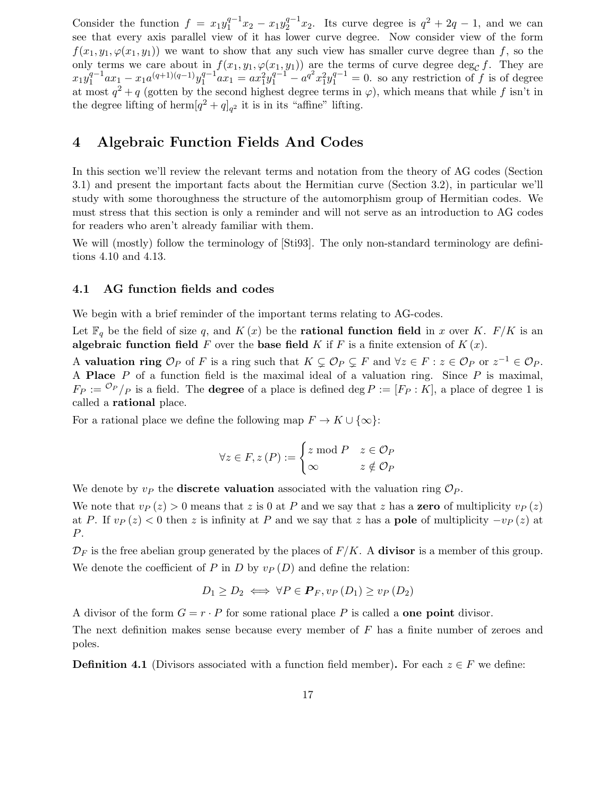Consider the function  $f = x_1 y_1^{q-1}$  $x_1^{q-1}x_2 - x_1y_2^{q-1}$  $q^{-1}x_2$ . Its curve degree is  $q^2 + 2q - 1$ , and we can see that every axis parallel view of it has lower curve degree. Now consider view of the form  $f(x_1, y_1, \varphi(x_1, y_1))$  we want to show that any such view has smaller curve degree than f, so the only terms we care about in  $f(x_1, y_1, \varphi(x_1, y_1))$  are the terms of curve degree deg<sub>C</sub> f. They are  $x_1y_1^{q-1}$  $a_1^{q-1}ax_1 - x_1a^{(q+1)(q-1)}y_1^{q-1}$  $\int_{1}^{q-1} ax_1 = ax_1^2 y_1^{q-1} - a^{q^2} x_1^2 y_1^{q-1} = 0$ . so any restriction of f is of degree at most  $q^2 + q$  (gotten by the second highest degree terms in  $\varphi$ ), which means that while f isn't in the degree lifting of herm $[q^2 + q]_{q^2}$  it is in its "affine" lifting.

## 4 Algebraic Function Fields And Codes

In this section we'll review the relevant terms and notation from the theory of AG codes (Section 3.1) and present the important facts about the Hermitian curve (Section 3.2), in particular we'll study with some thoroughness the structure of the automorphism group of Hermitian codes. We must stress that this section is only a reminder and will not serve as an introduction to AG codes for readers who aren't already familiar with them.

We will (mostly) follow the terminology of [Sti93]. The only non-standard terminology are definitions 4.10 and 4.13.

#### 4.1 AG function fields and codes

We begin with a brief reminder of the important terms relating to AG-codes.

Let  $\mathbb{F}_q$  be the field of size q, and  $K(x)$  be the **rational function field** in x over K. F/K is an algebraic function field F over the base field K if F is a finite extension of  $K(x)$ .

A valuation ring  $\mathcal{O}_P$  of F is a ring such that  $K \subsetneq \mathcal{O}_P \subsetneq F$  and  $\forall z \in F : z \in \mathcal{O}_P$  or  $z^{-1} \in \mathcal{O}_P$ . A **Place**  $P$  of a function field is the maximal ideal of a valuation ring. Since  $P$  is maximal,  $F_P := \frac{\mathcal{O}_P}{P}$  is a field. The **degree** of a place is defined deg  $P := [F_P : K]$ , a place of degree 1 is called a rational place.

For a rational place we define the following map  $F \to K \cup \{\infty\}$ :

$$
\forall z \in F, z(P) := \begin{cases} z \bmod P & z \in \mathcal{O}_P \\ \infty & z \notin \mathcal{O}_P \end{cases}
$$

We denote by  $v_P$  the **discrete valuation** associated with the valuation ring  $\mathcal{O}_P$ .

We note that  $v_P(z) > 0$  means that z is 0 at P and we say that z has a zero of multiplicity  $v_P(z)$ at P. If  $v_P(z) < 0$  then z is infinity at P and we say that z has a **pole** of multiplicity  $-v_P(z)$  at P.

 $\mathcal{D}_F$  is the free abelian group generated by the places of  $F/K$ . A **divisor** is a member of this group. We denote the coefficient of P in D by  $v_P(D)$  and define the relation:

$$
D_1 \ge D_2 \iff \forall P \in \mathbf{P}_F, v_P(D_1) \ge v_P(D_2)
$$

A divisor of the form  $G = r \cdot P$  for some rational place P is called a **one point** divisor.

The next definition makes sense because every member of  $F$  has a finite number of zeroes and poles.

**Definition 4.1** (Divisors associated with a function field member). For each  $z \in F$  we define: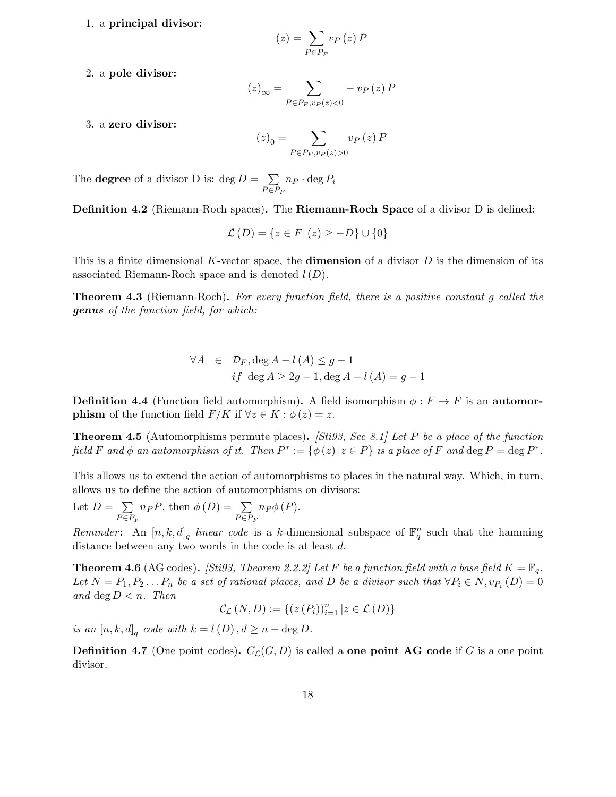1. a principal divisor:

$$
(z) = \sum_{P \in P_F} v_P(z) P
$$

2. a pole divisor:

$$
(z)_{\infty} = \sum_{P \in P_F, v_P(z) < 0} - v_P(z) \, P
$$

3. a zero divisor:

$$
(z)_0 = \sum_{P \in P_F, v_P(z) > 0} v_P(z) P
$$

The **degree** of a divisor D is:  $\deg D = \sum$  $\sum_{P \in P_F} n_P \cdot \deg P_i$ 

Definition 4.2 (Riemann-Roch spaces). The Riemann-Roch Space of a divisor D is defined:

$$
\mathcal{L}(D) = \{ z \in F | (z) \ge -D \} \cup \{ 0 \}
$$

This is a finite dimensional K-vector space, the **dimension** of a divisor  $D$  is the dimension of its associated Riemann-Roch space and is denoted  $l(D)$ .

**Theorem 4.3** (Riemann-Roch). For every function field, there is a positive constant q called the genus of the function field, for which:

$$
\forall A \in \mathcal{D}_F, \deg A - l(A) \le g - 1
$$
  
if  $\deg A \ge 2g - 1, \deg A - l(A) = g - 1$ 

**Definition 4.4** (Function field automorphism). A field isomorphism  $\phi : F \to F$  is an automor**phism** of the function field  $F/K$  if  $\forall z \in K : \phi(z) = z$ .

**Theorem 4.5** (Automorphisms permute places). *[Sti93, Sec 8.1] Let P be a place of the function* field F and  $\phi$  an automorphism of it. Then  $P^* := {\phi(z) | z \in P}$  is a place of F and  $\deg P = \deg P^*$ .

This allows us to extend the action of automorphisms to places in the natural way. Which, in turn, allows us to define the action of automorphisms on divisors:

Let 
$$
D = \sum_{P \in P_F} n_P P
$$
, then  $\phi(D) = \sum_{P \in P_F} n_P \phi(P)$ .

Reminder: An  $[n, k, d]_q$  linear code is a k-dimensional subspace of  $\mathbb{F}_q^n$  such that the hamming distance between any two words in the code is at least d.

**Theorem 4.6** (AG codes). *[Sti93, Theorem 2.2.2] Let F be a function field with a base field*  $K = \mathbb{F}_q$ . Let  $N = P_1, P_2... P_n$  be a set of rational places, and D be a divisor such that  $\forall P_i \in N, v_{P_i}(D) = 0$ and deg  $D < n$ . Then

$$
\mathcal{C}_{\mathcal{L}}(N,D) := \{(z(P_i))_{i=1}^n | z \in \mathcal{L}(D)\}
$$

is an  $[n, k, d]_q$  code with  $k = l(D)$ ,  $d \ge n - \deg D$ .

**Definition 4.7** (One point codes).  $C_{\mathcal{L}}(G, D)$  is called a **one point AG** code if G is a one point divisor.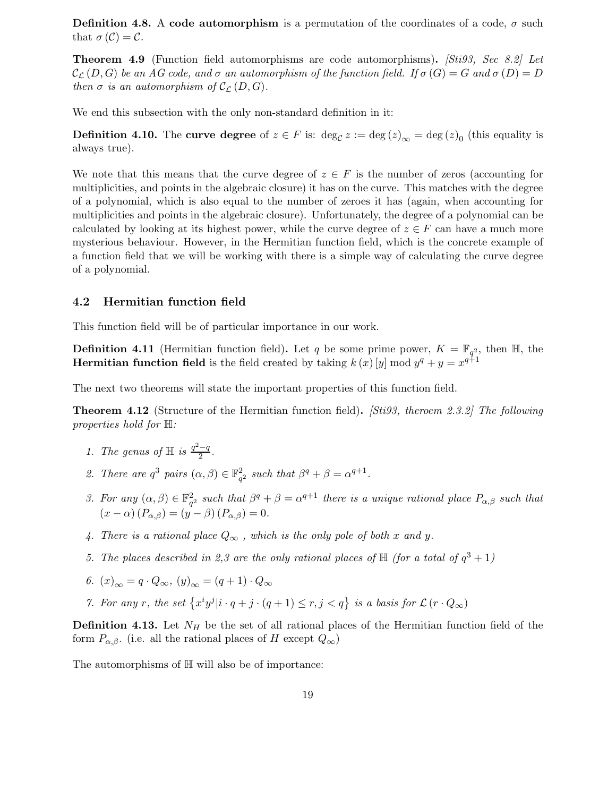**Definition 4.8.** A code automorphism is a permutation of the coordinates of a code,  $\sigma$  such that  $\sigma(\mathcal{C})=\mathcal{C}$ .

**Theorem 4.9** (Function field automorphisms are code automorphisms). *[Sti93, Sec 8.2] Let*  $\mathcal{C}_{\mathcal{L}}(D, G)$  be an AG code, and  $\sigma$  an automorphism of the function field. If  $\sigma(G) = G$  and  $\sigma(D) = D$ then  $\sigma$  is an automorphism of  $\mathcal{C}_{\mathcal{L}}(D, G)$ .

We end this subsection with the only non-standard definition in it:

**Definition 4.10.** The curve degree of  $z \in F$  is:  $\deg_{\mathcal{C}} z := \deg(z)_{\infty} = \deg(z)_{0}$  (this equality is always true).

We note that this means that the curve degree of  $z \in F$  is the number of zeros (accounting for multiplicities, and points in the algebraic closure) it has on the curve. This matches with the degree of a polynomial, which is also equal to the number of zeroes it has (again, when accounting for multiplicities and points in the algebraic closure). Unfortunately, the degree of a polynomial can be calculated by looking at its highest power, while the curve degree of  $z \in F$  can have a much more mysterious behaviour. However, in the Hermitian function field, which is the concrete example of a function field that we will be working with there is a simple way of calculating the curve degree of a polynomial.

#### 4.2 Hermitian function field

This function field will be of particular importance in our work.

**Definition 4.11** (Hermitian function field). Let q be some prime power,  $K = \mathbb{F}_{q^2}$ , then  $\mathbb{H}$ , the **Hermitian function field** is the field created by taking  $k(x)[y] \bmod y^q + y = x^{q+1}$ 

The next two theorems will state the important properties of this function field.

Theorem 4.12 (Structure of the Hermitian function field). [Sti93, theroem 2.3.2] The following properties hold for  $\mathbb{H}$ :

- 1. The genus of  $\mathbb H$  is  $\frac{q^2-q}{2}$  $\frac{-q}{2}$ .
- 2. There are  $q^3$  pairs  $(\alpha, \beta) \in \mathbb{F}_{q^2}^2$  such that  $\beta^q + \beta = \alpha^{q+1}$ .
- 3. For any  $(\alpha, \beta) \in \mathbb{F}_{q^2}^2$  such that  $\beta^q + \beta = \alpha^{q+1}$  there is a unique rational place  $P_{\alpha,\beta}$  such that  $(x - \alpha) (P_{\alpha,\beta}) = (y - \beta) (P_{\alpha,\beta}) = 0.$
- 4. There is a rational place  $Q_{\infty}$ , which is the only pole of both x and y.
- 5. The places described in 2,3 are the only rational places of  $\mathbb{H}$  (for a total of  $q^3 + 1$ )
- 6.  $(x)_{\infty} = q \cdot Q_{\infty}, (y)_{\infty} = (q+1) \cdot Q_{\infty}$
- 7. For any r, the set  $\{x^i y^j | i \cdot q + j \cdot (q+1) \le r, j < q\}$  is a basis for  $\mathcal{L}(r \cdot Q_\infty)$

**Definition 4.13.** Let  $N_H$  be the set of all rational places of the Hermitian function field of the form  $P_{\alpha,\beta}$ . (i.e. all the rational places of H except  $Q_{\infty}$ )

The automorphisms of  $\mathbb H$  will also be of importance: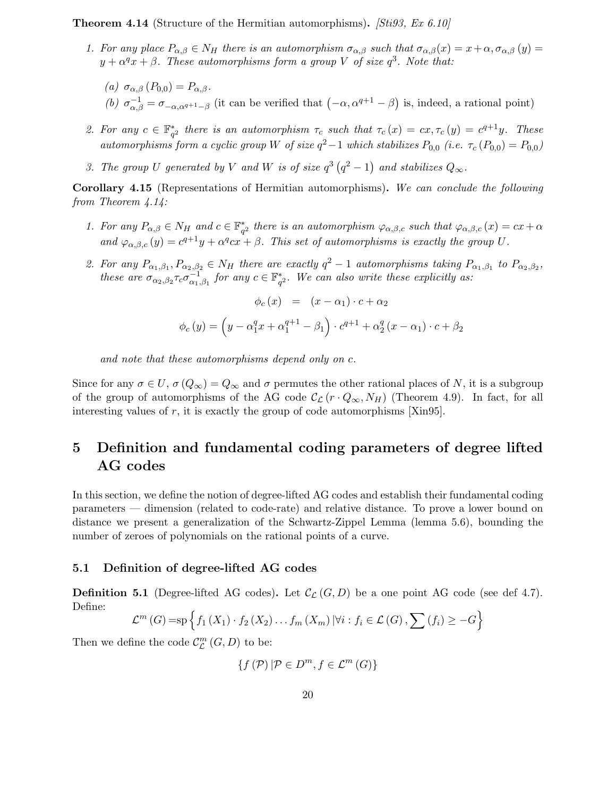**Theorem 4.14** (Structure of the Hermitian automorphisms). [Stigg, Ex 6.10]

- 1. For any place  $P_{\alpha,\beta} \in N_H$  there is an automorphism  $\sigma_{\alpha,\beta}$  such that  $\sigma_{\alpha,\beta}(x) = x + \alpha, \sigma_{\alpha,\beta}(y) = x + \alpha$  $y + \alpha^q x + \beta$ . These automorphisms form a group V of size  $q^3$ . Note that:
	- (a)  $\sigma_{\alpha,\beta}(P_{0,0})=P_{\alpha,\beta}.$ (b)  $\sigma_{\alpha,\beta}^{-1} = \sigma_{-\alpha,\alpha^{q+1}-\beta}$  (it can be verified that  $(-\alpha, \alpha^{q+1}-\beta)$  is, indeed, a rational point)
- 2. For any  $c \in \mathbb{F}_{q^2}^*$  there is an automorphism  $\tau_c$  such that  $\tau_c(x) = cx, \tau_c(y) = c^{q+1}y$ . These automorphisms form a cyclic group W of size  $q^2-1$  which stabilizes  $P_{0,0}$  (i.e.  $\tau_c(P_{0,0}) = P_{0,0}$ )
- 3. The group U generated by V and W is of size  $q^3(q^2-1)$  and stabilizes  $Q_{\infty}$ .

Corollary 4.15 (Representations of Hermitian automorphisms). We can conclude the following from Theorem 4.14:

- 1. For any  $P_{\alpha,\beta} \in N_H$  and  $c \in \mathbb{F}_{q^2}^*$  there is an automorphism  $\varphi_{\alpha,\beta,c}$  such that  $\varphi_{\alpha,\beta,c}(x) = cx + \alpha$ and  $\varphi_{\alpha,\beta,c}(y) = c^{q+1}y + \alpha^q c x + \beta$ . This set of automorphisms is exactly the group U.
- 2. For any  $P_{\alpha_1,\beta_1},P_{\alpha_2,\beta_2} \in N_H$  there are exactly  $q^2-1$  automorphisms taking  $P_{\alpha_1,\beta_1}$  to  $P_{\alpha_2,\beta_2}$ , these are  $\sigma_{\alpha_2,\beta_2} \tau_c \sigma_{\alpha_1}^{-1}$  $\frac{1}{\alpha_1,\beta_1}$  for any  $c \in \mathbb{F}_{q^2}^*$ . We can also write these explicitly as:

$$
\phi_c(x) = (x - \alpha_1) \cdot c + \alpha_2
$$

$$
\phi_c(y) = \left(y - \alpha_1^q x + \alpha_1^{q+1} - \beta_1\right) \cdot c^{q+1} + \alpha_2^q (x - \alpha_1) \cdot c + \beta_2
$$

and note that these automorphisms depend only on c.

Since for any  $\sigma \in U$ ,  $\sigma(Q_{\infty}) = Q_{\infty}$  and  $\sigma$  permutes the other rational places of N, it is a subgroup of the group of automorphisms of the AG code  $\mathcal{C}_{\mathcal{L}}(r \cdot Q_{\infty}, N_H)$  (Theorem 4.9). In fact, for all interesting values of r, it is exactly the group of code automorphisms  $[Xin95]$ .

## 5 Definition and fundamental coding parameters of degree lifted AG codes

In this section, we define the notion of degree-lifted AG codes and establish their fundamental coding parameters — dimension (related to code-rate) and relative distance. To prove a lower bound on distance we present a generalization of the Schwartz-Zippel Lemma (lemma 5.6), bounding the number of zeroes of polynomials on the rational points of a curve.

#### 5.1 Definition of degree-lifted AG codes

**Definition 5.1** (Degree-lifted AG codes). Let  $\mathcal{C}_{\mathcal{L}}(G, D)$  be a one point AG code (see def 4.7). Define:

$$
\mathcal{L}^m(G) = \mathrm{sp} \left\{ f_1 \left( X_1 \right) \cdot f_2 \left( X_2 \right) \dots f_m \left( X_m \right) \vert \forall i : f_i \in \mathcal{L}(G), \sum \left( f_i \right) \geq -G \right\}
$$

Then we define the code  $\mathcal{C}_{\mathcal{L}}^{m}\left( G,D\right)$  to be:

$$
\{f\left(\mathcal{P}\right)|\mathcal{P}\in D^{m},f\in\mathcal{L}^{m}\left(G\right)\}
$$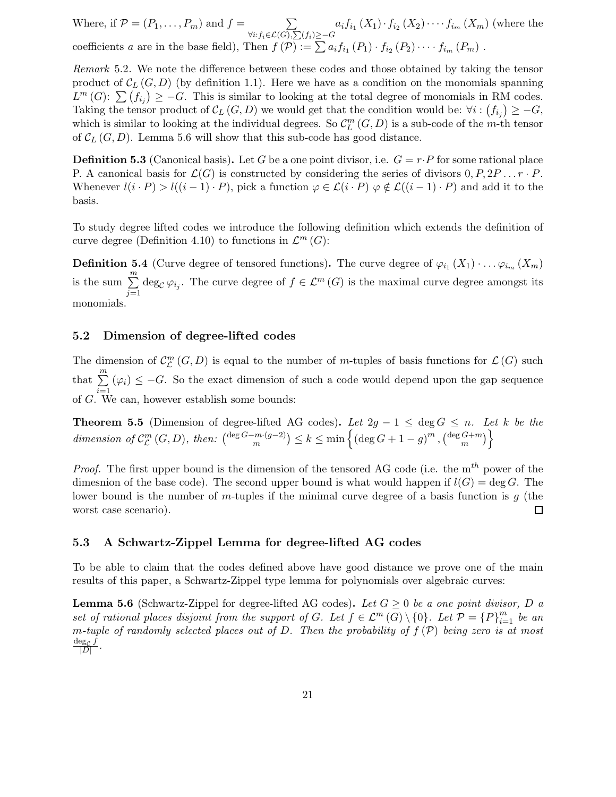Where, if  $\mathcal{P} = (P_1, \ldots, P_m)$  and  $f = \sum_{\forall j \in \mathcal{N}}$  $\forall i$ :  $f_i\in \mathcal{L}(G), \sum(f_i) \geq -G$  $a_i f_{i_1}(X_1) \cdot f_{i_2}(X_2) \cdot \cdots f_{i_m}(X_m)$  (where the coefficients a are in the base field), Then  $f(\mathcal{P}) := \sum a_i f_{i_1}(P_1) \cdot f_{i_2}(P_2) \cdot \cdots \cdot f_{i_m}(P_m)$ .

Remark 5.2. We note the difference between these codes and those obtained by taking the tensor product of  $\mathcal{C}_L(G, D)$  (by definition 1.1). Here we have as a condition on the monomials spanning  $L^m(G)$ :  $\sum_{i} (f_{i_j}) \geq -G$ . This is similar to looking at the total degree of monomials in RM codes. Taking the tensor product of  $\mathcal{C}_L(G, D)$  we would get that the condition would be:  $\forall i : (f_{i_j}) \geq -G$ , which is similar to looking at the individual degrees. So  $\mathcal{C}_{L}^{m}(G,D)$  is a sub-code of the m-th tensor of  $\mathcal{C}_L(G, D)$ . Lemma 5.6 will show that this sub-code has good distance.

**Definition 5.3** (Canonical basis). Let G be a one point divisor, i.e.  $G = r \cdot P$  for some rational place P. A canonical basis for  $\mathcal{L}(G)$  is constructed by considering the series of divisors  $0, P, 2P \dots r \cdot P$ . Whenever  $l(i \cdot P) > l((i-1) \cdot P)$ , pick a function  $\varphi \in \mathcal{L}(i \cdot P)$   $\varphi \notin \mathcal{L}((i-1) \cdot P)$  and add it to the basis.

To study degree lifted codes we introduce the following definition which extends the definition of curve degree (Definition 4.10) to functions in  $\mathcal{L}^m(G)$ :

**Definition 5.4** (Curve degree of tensored functions). The curve degree of  $\varphi_{i_1}(X_1) \cdot \ldots \varphi_{i_m}(X_m)$ is the sum  $\sum_{m=1}^{m}$  $\sum_{j=1} \deg_{\mathcal{C}} \varphi_{i_j}$ . The curve degree of  $f \in \mathcal{L}^m(G)$  is the maximal curve degree amongst its monomials.

#### 5.2 Dimension of degree-lifted codes

The dimension of  $\mathcal{C}_{\mathcal{L}}^{m}(G, D)$  is equal to the number of m-tuples of basis functions for  $\mathcal{L}(G)$  such that  $\sum_{m=1}^{m}$  $\sum_{i=1}^{\infty} (\varphi_i) \leq -G$ . So the exact dimension of such a code would depend upon the gap sequence of G. We can, however establish some bounds:

**Theorem 5.5** (Dimension of degree-lifted AG codes). Let  $2g - 1 \le \deg G \le n$ . Let k be the dimension of  $\mathcal{C}_{\mathcal{L}}^{m}(G,D)$ , then:  $\binom{\deg G-m\cdot(g-2)}{m}$  $\binom{m \cdot (g-2)}{m} \le k \le \min \left\{ (\deg G + 1 - g)^m , (\deg G + m)\right\}$  $\begin{bmatrix} G+m \\ m \end{bmatrix}$ 

*Proof.* The first upper bound is the dimension of the tensored AG code (i.e. the  $m^{th}$  power of the dimesnion of the base code). The second upper bound is what would happen if  $l(G) = \deg G$ . The lower bound is the number of m-tuples if the minimal curve degree of a basis function is  $q$  (the worst case scenario).  $\Box$ 

#### 5.3 A Schwartz-Zippel Lemma for degree-lifted AG codes

To be able to claim that the codes defined above have good distance we prove one of the main results of this paper, a Schwartz-Zippel type lemma for polynomials over algebraic curves:

**Lemma 5.6** (Schwartz-Zippel for degree-lifted AG codes). Let  $G \geq 0$  be a one point divisor, D a set of rational places disjoint from the support of G. Let  $f \in \mathcal{L}^m(G) \setminus \{0\}$ . Let  $\mathcal{P} = \{P\}_{i=1}^m$  be an m-tuple of randomly selected places out of D. Then the probability of  $f(\mathcal{P})$  being zero is at most  $\deg_{\mathcal{C}} f$  $\frac{\log C J}{|D|}$  .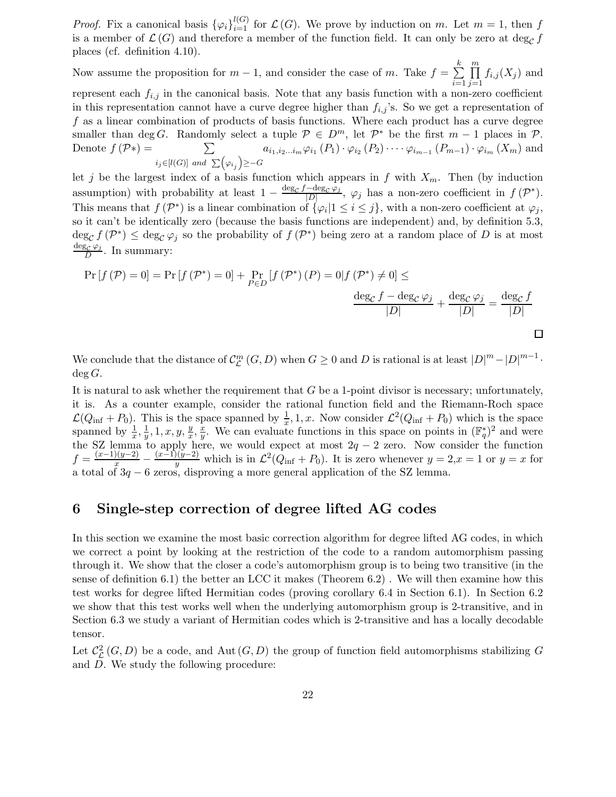*Proof.* Fix a canonical basis  ${\varphi_i}_{i=1}^{l(G)}$  for  $\mathcal{L}(G)$ . We prove by induction on m. Let  $m = 1$ , then f is a member of  $\mathcal{L}(G)$  and therefore a member of the function field. It can only be zero at deg<sub>C</sub> f places (cf. definition 4.10).

Now assume the proposition for  $m-1$ , and consider the case of m. Take  $f = \sum_{n=1}^{\infty}$ k  $i=1$  $\prod$  $j=1$  $f_{i,j}(X_j)$  and represent each  $f_{i,j}$  in the canonical basis. Note that any basis function with a non-zero coefficient in this representation cannot have a curve degree higher than  $f_{i,j}$ 's. So we get a representation of f as a linear combination of products of basis functions. Where each product has a curve degree smaller than deg G. Randomly select a tuple  $P \in D^m$ , let  $P^*$  be the first  $m-1$  places in  $P$ . Denote  $f(\mathcal{P}*) = \sum$  $i_j \in [l(G)]$  and  $\sum (\varphi_{i_j}) \geq -G$  $a_{i_1,i_2...i_m}\varphi_{i_1}(P_1)\cdot \varphi_{i_2}(P_2)\cdots \varphi_{i_{m-1}}(P_{m-1})\cdot \varphi_{i_m}(X_m)$  and

let j be the largest index of a basis function which appears in f with  $X_m$ . Then (by induction assumption) with probability at least  $1 - \frac{\deg_c f - \deg_c \varphi_j}{|D|}$  $\frac{-\deg_{\mathcal{C}}\varphi_j}{|D|}, \varphi_j$  has a non-zero coefficient in  $f(\mathcal{P}^*).$ This means that  $f(\mathcal{P}^*)$  is a linear combination of  $\{\varphi_i | 1 \leq i \leq j\}$ , with a non-zero coefficient at  $\varphi_j$ , so it can't be identically zero (because the basis functions are independent) and, by definition 5.3,  $\deg_{\mathcal{C}} f(\mathcal{P}^*) \leq \deg_{\mathcal{C}} \varphi_j$  so the probability of  $f(\mathcal{P}^*)$  being zero at a random place of D is at most  $\deg_{\mathcal{C}}\varphi_j$  $\frac{\partial \mathcal{L} \psi_j}{D}$ . In summary:

$$
\Pr\left[f\left(\mathcal{P}\right)=0\right]=\Pr\left[f\left(\mathcal{P}^*\right)=0\right]+\Pr_{P\in D}\left[f\left(\mathcal{P}^*\right)\left(P\right)=0\middle|f\left(\mathcal{P}^*\right)\neq0\right]\leq\frac{\deg_{\mathcal{C}}f-\deg_{\mathcal{C}}\varphi_{j}}{\left|D\right|}+\frac{\deg_{\mathcal{C}}\varphi_{j}}{\left|D\right|}=\frac{\deg_{\mathcal{C}}f}{\left|D\right|}
$$

We conclude that the distance of  $\mathcal{C}_{\mathcal{L}}^{m}(G,D)$  when  $G \geq 0$  and D is rational is at least  $|D|^{m} - |D|^{m-1}$ .  $\deg G$ .

It is natural to ask whether the requirement that  $G$  be a 1-point divisor is necessary; unfortunately, it is. As a counter example, consider the rational function field and the Riemann-Roch space  $\mathcal{L}(Q_{\text{inf}} + P_0)$ . This is the space spanned by  $\frac{1}{x}, 1, x$ . Now consider  $\mathcal{L}^2(Q_{\text{inf}} + P_0)$  which is the space spanned by  $\frac{1}{x}, \frac{1}{y}$  $\frac{1}{y}$ , 1, x, y,  $\frac{y}{x}$  $\frac{y}{x}, \frac{x}{y}$  $\frac{x}{y}$ . We can evaluate functions in this space on points in  $(\mathbb{F}_q^*)^2$  and were the SZ lemma to apply here, we would expect at most  $2q - 2$  zero. Now consider the function  $f = \frac{(x-1)(y-2)}{x} - \frac{(x-1)(y-2)}{y}$  $\frac{y(y-2)}{y}$  which is in  $\mathcal{L}^2(Q_{\text{inf}} + P_0)$ . It is zero whenever  $y = 2, x = 1$  or  $y = x$  for a total of 3q − 6 zeros, disproving a more general application of the SZ lemma.

## 6 Single-step correction of degree lifted AG codes

In this section we examine the most basic correction algorithm for degree lifted AG codes, in which we correct a point by looking at the restriction of the code to a random automorphism passing through it. We show that the closer a code's automorphism group is to being two transitive (in the sense of definition 6.1) the better an LCC it makes (Theorem 6.2) . We will then examine how this test works for degree lifted Hermitian codes (proving corollary 6.4 in Section 6.1). In Section 6.2 we show that this test works well when the underlying automorphism group is 2-transitive, and in Section 6.3 we study a variant of Hermitian codes which is 2-transitive and has a locally decodable tensor.

Let  $\mathcal{C}_{\mathcal{L}}^2(G, D)$  be a code, and Aut  $(G, D)$  the group of function field automorphisms stabilizing G and D. We study the following procedure: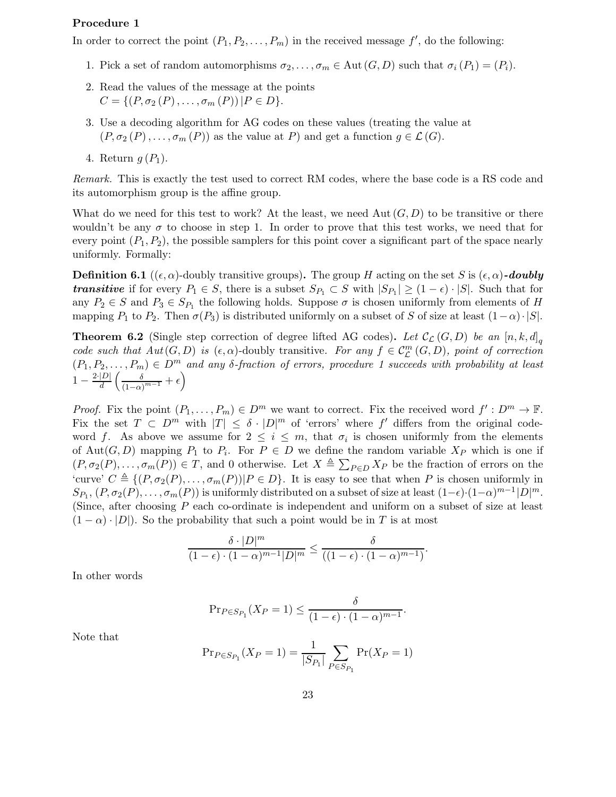#### Procedure 1

In order to correct the point  $(P_1, P_2, \ldots, P_m)$  in the received message  $f'$ , do the following:

- 1. Pick a set of random automorphisms  $\sigma_2, \ldots, \sigma_m \in \text{Aut}(G, D)$  such that  $\sigma_i(P_1) = (P_i)$ .
- 2. Read the values of the message at the points  $C = \{ (P, \sigma_2(P), \ldots, \sigma_m(P)) | P \in D \}.$
- 3. Use a decoding algorithm for AG codes on these values (treating the value at  $(P, \sigma_2(P), \ldots, \sigma_m(P))$  as the value at P) and get a function  $g \in \mathcal{L}(G)$ .
- 4. Return  $q(P_1)$ .

Remark. This is exactly the test used to correct RM codes, where the base code is a RS code and its automorphism group is the affine group.

What do we need for this test to work? At the least, we need Aut  $(G, D)$  to be transitive or there wouldn't be any  $\sigma$  to choose in step 1. In order to prove that this test works, we need that for every point  $(P_1, P_2)$ , the possible samplers for this point cover a significant part of the space nearly uniformly. Formally:

**Definition 6.1** (( $\epsilon, \alpha$ )-doubly transitive groups). The group H acting on the set S is  $(\epsilon, \alpha)$ -doubly **transitive** if for every  $P_1 \in S$ , there is a subset  $S_{P_1} \subset S$  with  $|S_{P_1}| \geq (1 - \epsilon) \cdot |S|$ . Such that for any  $P_2 \in S$  and  $P_3 \in S_{P_1}$  the following holds. Suppose  $\sigma$  is chosen uniformly from elements of H mapping  $P_1$  to  $P_2$ . Then  $\sigma(P_3)$  is distributed uniformly on a subset of S of size at least  $(1-\alpha) \cdot |S|$ .

**Theorem 6.2** (Single step correction of degree lifted AG codes). Let  $\mathcal{C}_{\mathcal{L}}(G, D)$  be an  $[n, k, d]_q$ code such that  $Aut(G, D)$  is  $(\epsilon, \alpha)$ -doubly transitive. For any  $f \in C^m_{\mathcal{L}}(G, D)$ , point of correction Louis sach that  $Au(G, D)$  is  $(e, \alpha)$ -doding transferve. For any  $f \in C_{\mathcal{L}}(G, D)$ , point of correction  $(P_1, P_2, \ldots, P_m) \in D^m$  and any  $\delta$ -fraction of errors, procedure 1 succeeds with probability at least  $1 - \frac{2 \cdot |D|}{d}$  $rac{|D|}{d}\left(\frac{\delta}{(1-\alpha)}\right)$  $\frac{\delta}{(1-\alpha)^{m-1}}+\epsilon\bigg)$ 

*Proof.* Fix the point  $(P_1, \ldots, P_m) \in D^m$  we want to correct. Fix the received word  $f' : D^m \to \mathbb{F}$ . Fix the set  $T \text{ }\subset D^m$  with  $|T| \leq \delta \cdot |D|^m$  of 'errors' where  $f'$  differs from the original codeword f. As above we assume for  $2 \leq i \leq m$ , that  $\sigma_i$  is chosen uniformly from the elements of Aut $(G, D)$  mapping  $P_1$  to  $P_i$ . For  $P \in D$  we define the random variable  $X_P$  which is one if  $(P, \sigma_2(P), \ldots, \sigma_m(P)) \in T$ , and 0 otherwise. Let  $X \triangleq \sum_{P \in D} X_P$  be the fraction of errors on the 'curve'  $C \triangleq \{(P, \sigma_2(P), \ldots, \sigma_m(P)) | P \in D\}$ . It is easy to see that when P is chosen uniformly in  $S_{P_1}, (P, \sigma_2(P), \ldots, \sigma_m(P))$  is uniformly distributed on a subset of size at least  $(1-\epsilon) \cdot (1-\alpha)^{m-1} |D|^m$ . (Since, after choosing P each co-ordinate is independent and uniform on a subset of size at least  $(1 - \alpha) \cdot |D|$ . So the probability that such a point would be in T is at most

$$
\frac{\delta \cdot |D|^m}{(1-\epsilon) \cdot (1-\alpha)^{m-1}|D|^m} \le \frac{\delta}{((1-\epsilon) \cdot (1-\alpha)^{m-1})}.
$$

In other words

$$
\Pr_{P \in Sp_1}(X_P = 1) \le \frac{\delta}{(1 - \epsilon) \cdot (1 - \alpha)^{m-1}}.
$$

Note that

$$
\Pr_{P \in S_{P_1}}(X_P = 1) = \frac{1}{|S_{P_1}|} \sum_{P \in S_{P_1}} \Pr(X_P = 1)
$$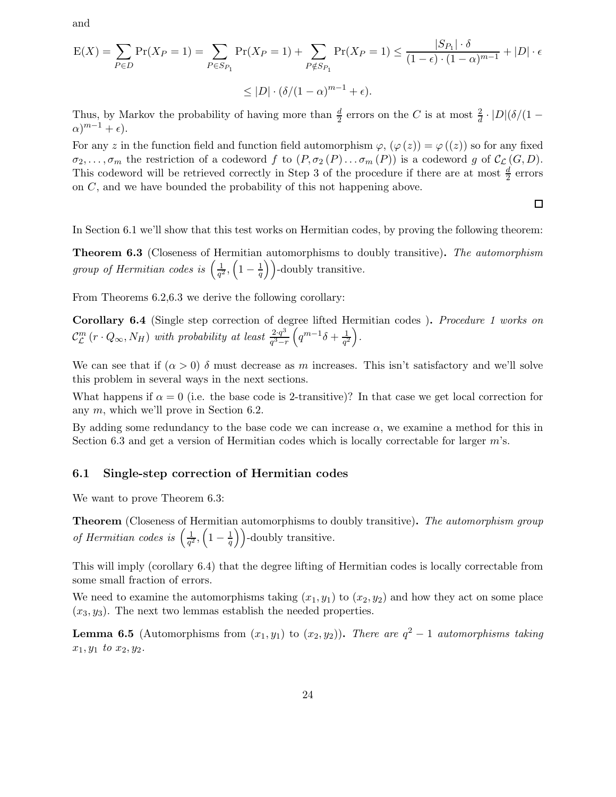and

$$
E(X) = \sum_{P \in D} \Pr(X_P = 1) = \sum_{P \in S_{P_1}} \Pr(X_P = 1) + \sum_{P \notin S_{P_1}} \Pr(X_P = 1) \le \frac{|S_{P_1}| \cdot \delta}{(1 - \epsilon) \cdot (1 - \alpha)^{m - 1}} + |D| \cdot \epsilon
$$
  

$$
\le |D| \cdot (\delta/(1 - \alpha)^{m - 1} + \epsilon).
$$

Thus, by Markov the probability of having more than  $\frac{d}{2}$  errors on the C is at most  $\frac{2}{d} \cdot |D|(\delta/(1 (\alpha)^{m-1} + \epsilon$ ).

For any z in the function field and function field automorphism  $\varphi$ ,  $(\varphi(z)) = \varphi(z)$  so for any fixed  $\sigma_2, \ldots, \sigma_m$  the restriction of a codeword f to  $(P, \sigma_2(P) \ldots \sigma_m(P))$  is a codeword g of  $\mathcal{C}_{\mathcal{L}}(G, D)$ . This codeword will be retrieved correctly in Step 3 of the procedure if there are at most  $\frac{d}{2}$  errors on C, and we have bounded the probability of this not happening above.

$$
\Box
$$

In Section 6.1 we'll show that this test works on Hermitian codes, by proving the following theorem:

**Theorem 6.3** (Closeness of Hermitian automorphisms to doubly transitive). The automorphism group of Hermitian codes is  $\left(\frac{1}{a^2}\right)$  $\frac{1}{q^2}, \left(1-\frac{1}{q}\right)$  $\left(\frac{1}{q}\right)$ )-doubly transitive.

From Theorems 6.2,6.3 we derive the following corollary:

Corollary 6.4 (Single step correction of degree lifted Hermitian codes ). Procedure 1 works on  $\mathcal{C}_{\mathcal{L}}^{m}\left(r \cdot Q_{\infty}, N_{H}\right)$  with probability at least  $\frac{2 \cdot q^{3}}{q^{3}-q^{3}}$  $rac{2\cdot q^3}{q^3-r}\left(q^{m-1}\delta+\frac{1}{q^2}\right)$  $\frac{1}{q^2}\bigg)$  .

We can see that if  $(\alpha > 0)$  δ must decrease as m increases. This isn't satisfactory and we'll solve this problem in several ways in the next sections.

What happens if  $\alpha = 0$  (i.e. the base code is 2-transitive)? In that case we get local correction for any m, which we'll prove in Section 6.2.

By adding some redundancy to the base code we can increase  $\alpha$ , we examine a method for this in Section 6.3 and get a version of Hermitian codes which is locally correctable for larger  $m$ 's.

#### 6.1 Single-step correction of Hermitian codes

We want to prove Theorem 6.3:

**Theorem** (Closeness of Hermitian automorphisms to doubly transitive). The automorphism group of Hermitian codes is  $\left(\frac{1}{a^2}\right)$  $\frac{1}{q^2}, \left(1-\frac{1}{q}\right)$  $\left(\frac{1}{q}\right)$ )-doubly transitive.

This will imply (corollary 6.4) that the degree lifting of Hermitian codes is locally correctable from some small fraction of errors.

We need to examine the automorphisms taking  $(x_1, y_1)$  to  $(x_2, y_2)$  and how they act on some place  $(x_3, y_3)$ . The next two lemmas establish the needed properties.

**Lemma 6.5** (Automorphisms from  $(x_1, y_1)$  to  $(x_2, y_2)$ ). There are  $q^2 - 1$  automorphisms taking  $x_1, y_1$  to  $x_2, y_2$ .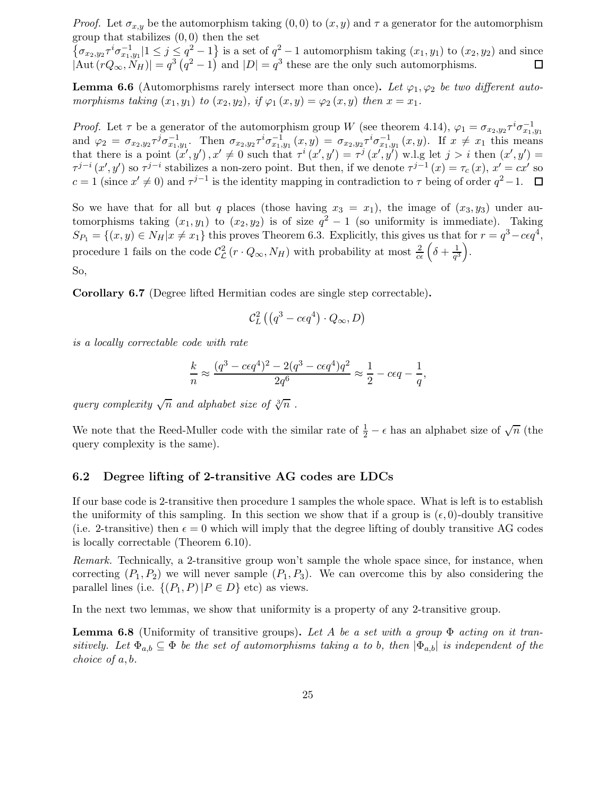*Proof.* Let  $\sigma_{x,y}$  be the automorphism taking  $(0,0)$  to  $(x, y)$  and  $\tau$  a generator for the automorphism group that stabilizes  $(0, 0)$  then the set

 $\{\sigma_{x_2,y_2}\tau^i\sigma_{x_1,y_1}^{-1}|1\leq j\leq q^2-1\}$  is a set of  $q^2-1$  automorphism taking  $(x_1,y_1)$  to  $(x_2,y_2)$  and since  $|\text{Aut}(rQ_{\infty}, \widetilde{N}_H)| = q^3 (q^2 - 1)$  and  $|D| = q^3$  these are the only such automorphisms.

**Lemma 6.6** (Automorphisms rarely intersect more than once). Let  $\varphi_1, \varphi_2$  be two different automorphisms taking  $(x_1, y_1)$  to  $(x_2, y_2)$ , if  $\varphi_1(x, y) = \varphi_2(x, y)$  then  $x = x_1$ .

*Proof.* Let  $\tau$  be a generator of the automorphism group W (see theorem 4.14),  $\varphi_1 = \sigma_{x_2,y_2} \tau^i \sigma_{x_1,y_1}^{-1}$ and  $\varphi_2 = \sigma_{x_2,y_2} \tau^j \sigma_{x_1,y_1}^{-1}$ . Then  $\sigma_{x_2,y_2} \tau^i \sigma_{x_1,y_1}^{-1}(x,y) = \sigma_{x_2,y_2} \tau^i \sigma_{x_1,y_1}^{-1}(x,y)$ . If  $x \neq x_1$  this means that there is a point  $(x', y')$ ,  $x' \neq 0$  such that  $\tau^i(x', y') = \tau^j(x', y')$  w.l.g let  $j > i$  then  $(x', y') =$  $\tau^{j-i}(x',y')$  so  $\tau^{j-i}$  stabilizes a non-zero point. But then, if we denote  $\tau^{j-1}(x) = \tau_c(x)$ ,  $x' = cx'$  so  $c = 1$  (since  $x' \neq 0$ ) and  $\tau^{j-1}$  is the identity mapping in contradiction to  $\tau$  being of order  $q^2 - 1$ .

So we have that for all but q places (those having  $x_3 = x_1$ ), the image of  $(x_3, y_3)$  under automorphisms taking  $(x_1, y_1)$  to  $(x_2, y_2)$  is of size  $q^2 - 1$  (so uniformity is immediate). Taking  $S_{P_1} = \{(x, y) \in N_H | x \neq x_1\}$  this proves Theorem 6.3. Explicitly, this gives us that for  $r = q^3 - c\epsilon q^4$ , procedure 1 fails on the code  $\mathcal{C}_{\mathcal{L}}^2(r \cdot Q_{\infty}, N_H)$  with probability at most  $\frac{2}{c\epsilon} \left( \delta + \frac{1}{q^2} \right)$  $\frac{1}{q^3}$ .

So,

Corollary 6.7 (Degree lifted Hermitian codes are single step correctable).

$$
\mathcal{C}_L^2\left(\left(q^3-c\epsilon q^4\right)\cdot Q_\infty,D\right)
$$

is a locally correctable code with rate

$$
\frac{k}{n}\approx \frac{(q^3-c\epsilon q^4)^2-2(q^3-c\epsilon q^4)q^2}{2q^6}\approx \frac{1}{2}-c\epsilon q-\frac{1}{q},
$$

query complexity  $\sqrt{n}$  and alphabet size of  $\sqrt[3]{n}$ .

We note that the Reed-Muller code with the similar rate of  $\frac{1}{2} - \epsilon$  has an alphabet size of  $\sqrt{n}$  (the query complexity is the same).

#### 6.2 Degree lifting of 2-transitive AG codes are LDCs

If our base code is 2-transitive then procedure 1 samples the whole space. What is left is to establish the uniformity of this sampling. In this section we show that if a group is  $(\epsilon, 0)$ -doubly transitive (i.e. 2-transitive) then  $\epsilon = 0$  which will imply that the degree lifting of doubly transitive AG codes is locally correctable (Theorem 6.10).

Remark. Technically, a 2-transitive group won't sample the whole space since, for instance, when correcting  $(P_1, P_2)$  we will never sample  $(P_1, P_3)$ . We can overcome this by also considering the parallel lines (i.e.  $\{(P_1, P) | P \in D\}$  etc) as views.

In the next two lemmas, we show that uniformity is a property of any 2-transitive group.

**Lemma 6.8** (Uniformity of transitive groups). Let A be a set with a group  $\Phi$  acting on it transitively. Let  $\Phi_{a,b} \subseteq \Phi$  be the set of automorphisms taking a to b, then  $|\Phi_{a,b}|$  is independent of the choice of a, b.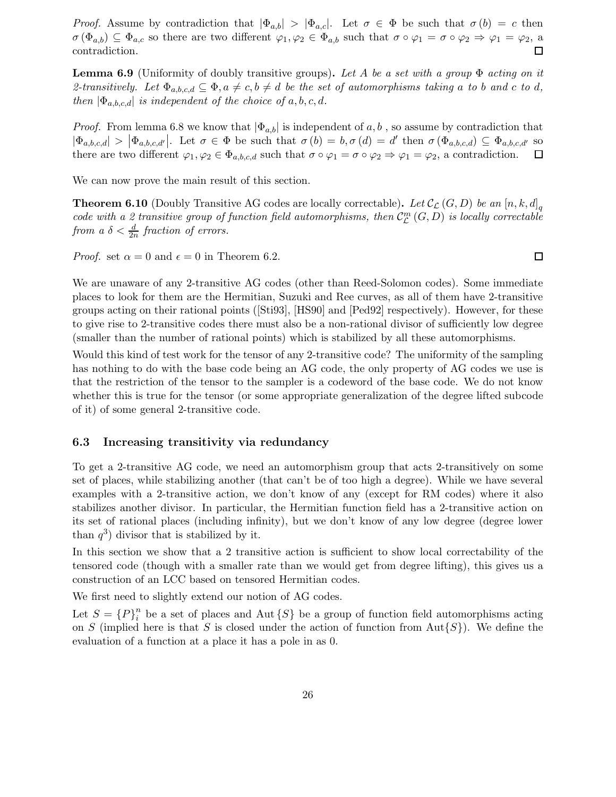*Proof.* Assume by contradiction that  $|\Phi_{a,b}| > |\Phi_{a,c}|$ . Let  $\sigma \in \Phi$  be such that  $\sigma(b) = c$  then  $\sigma(\Phi_{a,b}) \subseteq \Phi_{a,c}$  so there are two different  $\varphi_1, \varphi_2 \in \Phi_{a,b}$  such that  $\sigma \circ \varphi_1 = \sigma \circ \varphi_2 \Rightarrow \varphi_1 = \varphi_2$ , a contradiction. contradiction.

**Lemma 6.9** (Uniformity of doubly transitive groups). Let A be a set with a group  $\Phi$  acting on it 2-transitively. Let  $\Phi_{a,b,c,d} \subseteq \Phi$ ,  $a \neq c, b \neq d$  be the set of automorphisms taking a to b and c to d, then  $|\Phi_{a,b,c,d}|$  is independent of the choice of a, b, c, d.

*Proof.* From lemma 6.8 we know that  $|\Phi_{a,b}|$  is independent of a, b, so assume by contradiction that  $|\Phi_{a,b,c,d}| > |\Phi_{a,b,c,d'}|$ . Let  $\sigma \in \Phi$  be such that  $\sigma(b) = b, \sigma(d) = d'$  then  $\sigma(\Phi_{a,b,c,d}) \subseteq \Phi_{a,b,c,d'}$  so there are two different  $\varphi_1, \varphi_2 \in \Phi_{a,b,c,d}$  such that  $\sigma \circ \varphi_1 = \sigma \circ \varphi_2 \Rightarrow \varphi_1 = \varphi_2$ , a contradiction.

We can now prove the main result of this section.

**Theorem 6.10** (Doubly Transitive AG codes are locally correctable). Let  $\mathcal{C}_{\mathcal{L}}(G,D)$  be an  $[n, k, d]_q$ code with a 2 transitive group of function field automorphisms, then  $\mathcal{C}_{\mathcal{L}}^{m}(G,D)$  is locally correctable from a  $\delta < \frac{d}{2n}$  fraction of errors.

*Proof.* set  $\alpha = 0$  and  $\epsilon = 0$  in Theorem 6.2.

We are unaware of any 2-transitive AG codes (other than Reed-Solomon codes). Some immediate places to look for them are the Hermitian, Suzuki and Ree curves, as all of them have 2-transitive groups acting on their rational points ([Sti93], [HS90] and [Ped92] respectively). However, for these to give rise to 2-transitive codes there must also be a non-rational divisor of sufficiently low degree (smaller than the number of rational points) which is stabilized by all these automorphisms.

Would this kind of test work for the tensor of any 2-transitive code? The uniformity of the sampling has nothing to do with the base code being an AG code, the only property of AG codes we use is that the restriction of the tensor to the sampler is a codeword of the base code. We do not know whether this is true for the tensor (or some appropriate generalization of the degree lifted subcode of it) of some general 2-transitive code.

#### 6.3 Increasing transitivity via redundancy

To get a 2-transitive AG code, we need an automorphism group that acts 2-transitively on some set of places, while stabilizing another (that can't be of too high a degree). While we have several examples with a 2-transitive action, we don't know of any (except for RM codes) where it also stabilizes another divisor. In particular, the Hermitian function field has a 2-transitive action on its set of rational places (including infinity), but we don't know of any low degree (degree lower than  $q^3$ ) divisor that is stabilized by it.

In this section we show that a 2 transitive action is sufficient to show local correctability of the tensored code (though with a smaller rate than we would get from degree lifting), this gives us a construction of an LCC based on tensored Hermitian codes.

We first need to slightly extend our notion of AG codes.

Let  $S = {P}^n_i$  $i<sup>n</sup>$  be a set of places and Aut  $\{S\}$  be a group of function field automorphisms acting on S (implied here is that S is closed under the action of function from  $Aut\{S\}$ ). We define the evaluation of a function at a place it has a pole in as 0.

 $\Box$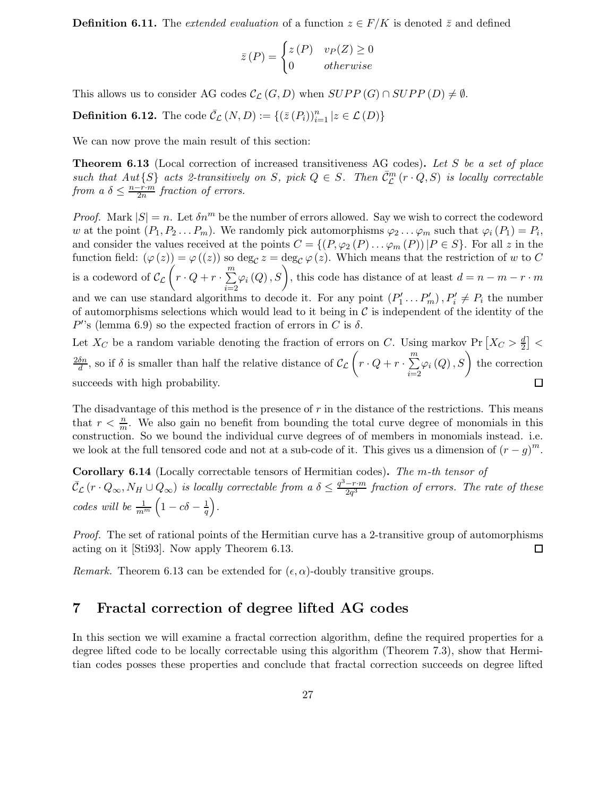**Definition 6.11.** The extended evaluation of a function  $z \in F/K$  is denoted  $\bar{z}$  and defined

$$
\bar{z}(P) = \begin{cases} z(P) & v_P(Z) \ge 0 \\ 0 & otherwise \end{cases}
$$

This allows us to consider AG codes  $\mathcal{C}_{\mathcal{L}}(G, D)$  when  $SUPP(G) \cap SUPP(D) \neq \emptyset$ .

**Definition 6.12.** The code  $\bar{\mathcal{C}}_{\mathcal{L}}(N, D) := \{ (\bar{z}(P_i))_{i=1}^n | z \in \mathcal{L}(D) \}$ 

We can now prove the main result of this section:

**Theorem 6.13** (Local correction of increased transitiveness AG codes). Let S be a set of place such that  $Aut\{S\}$  acts 2-transitively on S, pick  $Q \in S$ . Then  $\bar{C}_{\mathcal{L}}^m(r \cdot Q, S)$  is locally correctable from  $a \delta \leq \frac{n-r \cdot m}{2n}$  $\frac{2\pi}{2n}$  fraction of errors.

*Proof.* Mark  $|S| = n$ . Let  $\delta n^m$  be the number of errors allowed. Say we wish to correct the codeword w at the point  $(P_1, P_2 \ldots P_m)$ . We randomly pick automorphisms  $\varphi_2 \ldots \varphi_m$  such that  $\varphi_i(P_1) = P_i$ , and consider the values received at the points  $C = \{(P, \varphi_2(P) \dots \varphi_m(P)) | P \in S\}$ . For all z in the function field:  $(\varphi(z)) = \varphi((z))$  so  $\deg_{\mathcal{C}} z = \deg_{\mathcal{C}} \varphi(z)$ . Which means that the restriction of w to C is a codeword of  $\mathcal{C}_{\mathcal{L}}\left(r \cdot Q + r \cdot \sum_{i=1}^{m} \right)$  $i=2$  $\varphi_i(Q), S$ , this code has distance of at least  $d = n - m - r \cdot m$ and we can use standard algorithms to decode it. For any point  $(P'_1 \dots P'_m)$ ,  $P'_i \neq P_i$  the number of automorphisms selections which would lead to it being in  $\mathcal C$  is independent of the identity of the  $P$ 's (lemma 6.9) so the expected fraction of errors in C is  $\delta$ .

Let  $X_C$  be a random variable denoting the fraction of errors on C. Using markov Pr  $\left[X_C > \frac{d}{2}\right]$ 2  $\frac{\delta n}{d}$ , so if  $\delta$  is smaller than half the relative distance of  $\mathcal{C}_{\mathcal{L}}\left(r \cdot Q + r \cdot \sum_{i=1}^{m} q_i\right)$  $\varphi_i\left(Q\right), S\Big)$  the correction  $2\delta n$  $i=2$  $\Box$ succeeds with high probability.

The disadvantage of this method is the presence of  $r$  in the distance of the restrictions. This means that  $r < \frac{n}{m}$ . We also gain no benefit from bounding the total curve degree of monomials in this construction. So we bound the individual curve degrees of of members in monomials instead. i.e. we look at the full tensored code and not at a sub-code of it. This gives us a dimension of  $(r - g)^m$ .

Corollary 6.14 (Locally correctable tensors of Hermitian codes). The m-th tensor of  $\bar{\mathcal{C}}_{\mathcal{L}}(r \cdot Q_{\infty}, N_H \cup Q_{\infty})$  is locally correctable from a  $\delta \leq \frac{q^3-r\cdot m}{2q^3}$  $\frac{-r \cdot m}{2q^3}$  fraction of errors. The rate of these codes will be  $\frac{1}{m^m}\left(1-c\delta-\frac{1}{q}\right)$  $\frac{1}{q}$ .

Proof. The set of rational points of the Hermitian curve has a 2-transitive group of automorphisms acting on it [Sti93]. Now apply Theorem 6.13.  $\Box$ 

Remark. Theorem 6.13 can be extended for  $(\epsilon, \alpha)$ -doubly transitive groups.

## 7 Fractal correction of degree lifted AG codes

In this section we will examine a fractal correction algorithm, define the required properties for a degree lifted code to be locally correctable using this algorithm (Theorem 7.3), show that Hermitian codes posses these properties and conclude that fractal correction succeeds on degree lifted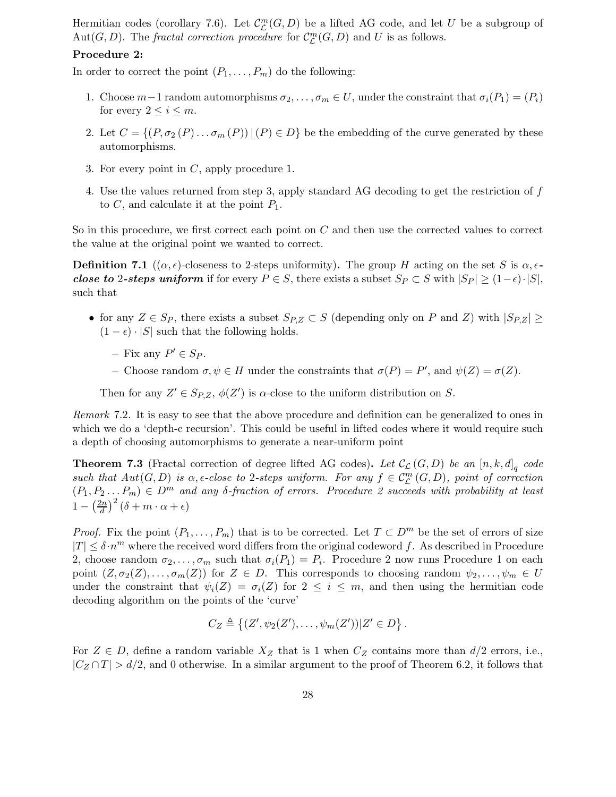Hermitian codes (corollary 7.6). Let  $\mathcal{C}_{\mathcal{L}}^{m}(G,D)$  be a lifted AG code, and let U be a subgroup of Aut $(G, D)$ . The *fractal correction procedure* for  $C_{\mathcal{L}}^{m}(G, D)$  and U is as follows.

#### Procedure 2:

In order to correct the point  $(P_1, \ldots, P_m)$  do the following:

- 1. Choose  $m-1$  random automorphisms  $\sigma_2, \ldots, \sigma_m \in U$ , under the constraint that  $\sigma_i(P_1) = (P_i)$ for every  $2 \leq i \leq m$ .
- 2. Let  $C = \{(P, \sigma_2(P) \dots \sigma_m(P)) | (P) \in D\}$  be the embedding of the curve generated by these automorphisms.
- 3. For every point in C, apply procedure 1.
- 4. Use the values returned from step 3, apply standard AG decoding to get the restriction of f to  $C$ , and calculate it at the point  $P_1$ .

So in this procedure, we first correct each point on C and then use the corrected values to correct the value at the original point we wanted to correct.

**Definition 7.1** (( $\alpha, \epsilon$ )-closeness to 2-steps uniformity). The group H acting on the set S is  $\alpha, \epsilon$ close to 2-steps uniform if for every  $P \in S$ , there exists a subset  $S_P \subset S$  with  $|S_P| \geq (1-\epsilon) \cdot |S|$ , such that

- for any  $Z \in S_P$ , there exists a subset  $S_{P,Z} \subset S$  (depending only on P and Z) with  $|S_{P,Z}| \ge$  $(1 - \epsilon) \cdot |S|$  such that the following holds.
	- $-$  Fix any  $P' \in S_P$ .
	- Choose random  $\sigma, \psi \in H$  under the constraints that  $\sigma(P) = P'$ , and  $\psi(Z) = \sigma(Z)$ .

Then for any  $Z' \in Sp_{Z}$ ,  $\phi(Z')$  is  $\alpha$ -close to the uniform distribution on S.

Remark 7.2. It is easy to see that the above procedure and definition can be generalized to ones in which we do a 'depth-c recursion'. This could be useful in lifted codes where it would require such a depth of choosing automorphisms to generate a near-uniform point

**Theorem 7.3** (Fractal correction of degree lifted AG codes). Let  $\mathcal{C}_{\mathcal{L}}(G, D)$  be an  $[n, k, d]_q$  code such that  $Aut(G, D)$  is  $\alpha$ ,  $\epsilon$ -close to 2-steps uniform. For any  $f \in C^m_{\mathcal{L}}(G, D)$ , point of correction  $(P_1, P_2... P_m) \in D^m$  and any  $\delta$ -fraction of errors. Procedure 2 succeeds with probability at least  $1-\left(\frac{2n}{d}\right)$  $\left(\frac{2n}{d}\right)^2(\delta+m\cdot\alpha+\epsilon)$ 

*Proof.* Fix the point  $(P_1, \ldots, P_m)$  that is to be corrected. Let  $T \subset D^m$  be the set of errors of size  $|T| \leq \delta \cdot n^m$  where the received word differs from the original codeword f. As described in Procedure 2, choose random  $\sigma_2, \ldots, \sigma_m$  such that  $\sigma_i(P_1) = P_i$ . Procedure 2 now runs Procedure 1 on each point  $(Z, \sigma_2(Z), \ldots, \sigma_m(Z))$  for  $Z \in D$ . This corresponds to choosing random  $\psi_2, \ldots, \psi_m \in U$ under the constraint that  $\psi_i(Z) = \sigma_i(Z)$  for  $2 \leq i \leq m$ , and then using the hermitian code decoding algorithm on the points of the 'curve'

$$
C_Z \triangleq \left\{ (Z', \psi_2(Z'), \dots, \psi_m(Z')) | Z' \in D \right\}.
$$

For  $Z \in D$ , define a random variable  $X_Z$  that is 1 when  $C_Z$  contains more than  $d/2$  errors, i.e.,  $|C_Z \cap T| > d/2$ , and 0 otherwise. In a similar argument to the proof of Theorem 6.2, it follows that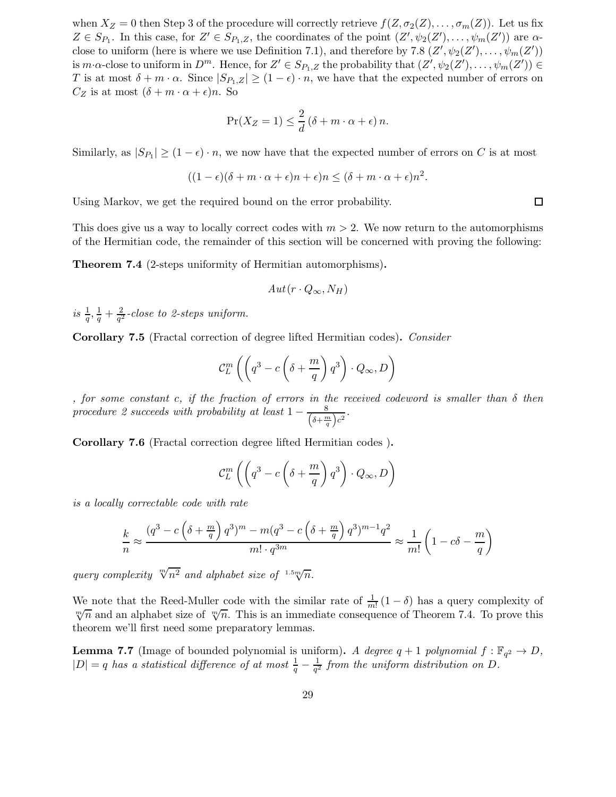when  $X_Z = 0$  then Step 3 of the procedure will correctly retrieve  $f(Z, \sigma_2(Z), \ldots, \sigma_m(Z))$ . Let us fix  $Z \in S_{P_1}$ . In this case, for  $Z' \in S_{P_1,Z}$ , the coordinates of the point  $(Z', \psi_2(Z'), \ldots, \psi_m(Z'))$  are  $\alpha$ close to uniform (here is where we use Definition 7.1), and therefore by 7.8  $(Z', \psi_2(Z'), \dots, \psi_m(Z'))$ is  $m \cdot \alpha$ -close to uniform in  $D^m$ . Hence, for  $Z' \in S_{P_1,Z}$  the probability that  $(Z', \psi_2(Z'), \dots, \psi_m(Z')) \in$ T is at most  $\delta + m \cdot \alpha$ . Since  $|S_{P_1,Z}| \geq (1-\epsilon) \cdot n$ , we have that the expected number of errors on  $C_Z$  is at most  $(\delta + m \cdot \alpha + \epsilon)n$ . So

$$
\Pr(X_Z = 1) \le \frac{2}{d} (\delta + m \cdot \alpha + \epsilon) n.
$$

Similarly, as  $|S_{P_1}| \geq (1 - \epsilon) \cdot n$ , we now have that the expected number of errors on C is at most

$$
((1-\epsilon)(\delta+m\cdot\alpha+\epsilon)n+\epsilon)n\leq (\delta+m\cdot\alpha+\epsilon)n^2.
$$

Using Markov, we get the required bound on the error probability.

This does give us a way to locally correct codes with  $m > 2$ . We now return to the automorphisms of the Hermitian code, the remainder of this section will be concerned with proving the following:

Theorem 7.4 (2-steps uniformity of Hermitian automorphisms).

$$
Aut(r \cdot Q_{\infty}, N_H)
$$

is  $\frac{1}{q}, \frac{1}{q} + \frac{2}{q^2}$  $\frac{2}{q^2}$ -close to 2-steps uniform.

Corollary 7.5 (Fractal correction of degree lifted Hermitian codes). Consider

$$
\mathcal{C}_L^m \left( \left( q^3 - c \left( \delta + \frac{m}{q} \right) q^3 \right) \cdot Q_\infty, D \right)
$$

, for some constant c, if the fraction of errors in the received codeword is smaller than δ then procedure 2 succeeds with probability at least  $1 - \frac{8}{\left(\delta + \frac{n}{2}\right)}$  $\frac{8}{\left(\delta+\frac{m}{q}\right)c^2}$ .

Corollary 7.6 (Fractal correction degree lifted Hermitian codes ).

$$
\mathcal{C}_L^m\left(\left(q^3-c\left(\delta+\frac{m}{q}\right)q^3\right)\cdot Q_\infty,D\right)
$$

is a locally correctable code with rate

$$
\frac{k}{n} \approx \frac{\left(q^3 - c\left(\delta + \frac{m}{q}\right)q^3\right)^m - m(q^3 - c\left(\delta + \frac{m}{q}\right)q^3)^{m-1}q^2}{m! \cdot q^{3m}} \approx \frac{1}{m!} \left(1 - c\delta - \frac{m}{q}\right)
$$

query complexity  $\sqrt[m]{n^2}$  and alphabet size of  $1.5 \sqrt[m]{n}$ .

We note that the Reed-Muller code with the similar rate of  $\frac{1}{m!}(1-\delta)$  has a query complexity of  $\sqrt[m]{n}$  and an alphabet size of  $\sqrt[m]{n}$ . This is an immediate consequence of Theorem 7.4. To prove this theorem we'll first need some preparatory lemmas.

**Lemma 7.7** (Image of bounded polynomial is uniform). A degree  $q + 1$  polynomial  $f : \mathbb{F}_{q^2} \to D$ ,  $|D| = q$  has a statistical difference of at most  $\frac{1}{q} - \frac{1}{q^2}$  $\frac{1}{q^2}$  from the uniform distribution on D.

 $\Box$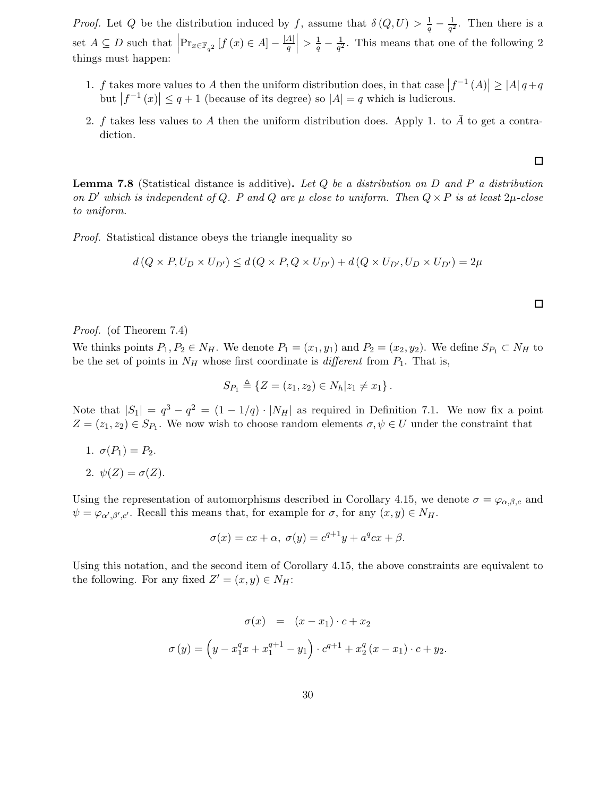*Proof.* Let Q be the distribution induced by f, assume that  $\delta(Q, U) > \frac{1}{q} - \frac{1}{q^2}$  $\frac{1}{q^2}$ . Then there is a set  $A \subseteq D$  such that  $\left|\Pr_{x \in \mathbb{F}_{q^2}}[f(x) \in A] - \frac{|A|}{q}\right|$  $\left. \frac{A}{q} \right| > \frac{1}{q} - \frac{1}{q^2}$ . This means that one of the following 2 things must happen:

- 1. f takes more values to A then the uniform distribution does, in that case  $|f^{-1}(A)| \geq |A| q + q$ but  $|f^{-1}(x)| \leq q+1$  (because of its degree) so  $|A| = q$  which is ludicrous.
- 2. f takes less values to A then the uniform distribution does. Apply 1. to  $\overline{A}$  to get a contradiction.

**Lemma 7.8** (Statistical distance is additive). Let  $Q$  be a distribution on  $D$  and  $P$  a distribution on D' which is independent of Q. P and Q are  $\mu$  close to uniform. Then  $Q \times P$  is at least  $2\mu$ -close to uniform.

Proof. Statistical distance obeys the triangle inequality so

$$
d(Q \times P, U_D \times U_{D'}) \le d(Q \times P, Q \times U_{D'}) + d(Q \times U_{D'}, U_D \times U_{D'}) = 2\mu
$$

Proof. (of Theorem 7.4)

We thinks points  $P_1, P_2 \in N_H$ . We denote  $P_1 = (x_1, y_1)$  and  $P_2 = (x_2, y_2)$ . We define  $S_{P_1} \subset N_H$  to be the set of points in  $N_H$  whose first coordinate is *different* from  $P_1$ . That is,

$$
S_{P_1} \triangleq \{Z = (z_1, z_2) \in N_h | z_1 \neq x_1 \}.
$$

Note that  $|S_1| = q^3 - q^2 = (1 - 1/q) \cdot |N_H|$  as required in Definition 7.1. We now fix a point  $Z = (z_1, z_2) \in S_{P_1}$ . We now wish to choose random elements  $\sigma, \psi \in U$  under the constraint that

- 1.  $\sigma(P_1) = P_2$ .
- 2.  $\psi(Z) = \sigma(Z)$ .

Using the representation of automorphisms described in Corollary 4.15, we denote  $\sigma = \varphi_{\alpha,\beta,c}$  and  $\psi = \varphi_{\alpha',\beta',c'}$ . Recall this means that, for example for  $\sigma$ , for any  $(x, y) \in N_H$ .

$$
\sigma(x) = cx + \alpha, \ \sigma(y) = c^{q+1}y + a^qcx + \beta.
$$

Using this notation, and the second item of Corollary 4.15, the above constraints are equivalent to the following. For any fixed  $Z' = (x, y) \in N_H$ :

$$
\sigma(x) = (x - x_1) \cdot c + x_2
$$
  

$$
\sigma(y) = (y - x_1^q x + x_1^{q+1} - y_1) \cdot c^{q+1} + x_2^q (x - x_1) \cdot c + y_2.
$$

 $\Box$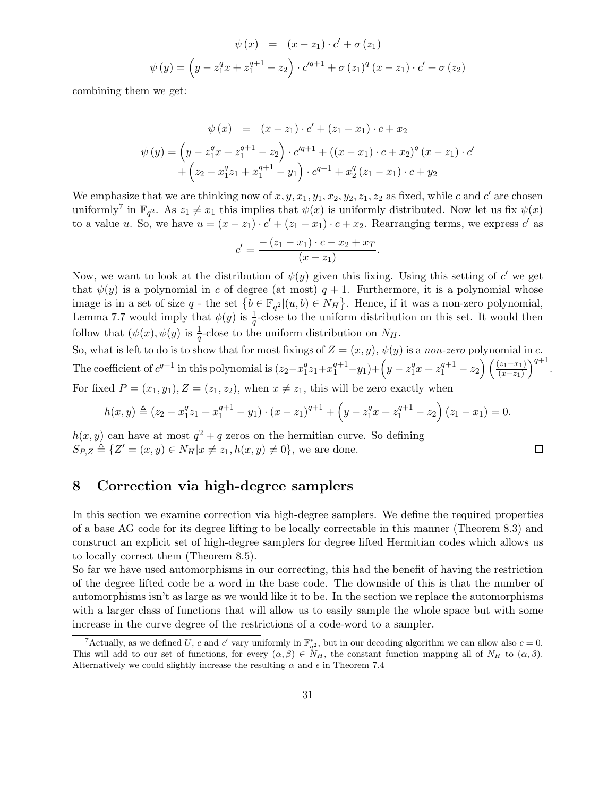$$
\psi(x) = (x - z_1) \cdot c' + \sigma(z_1)
$$
  

$$
\psi(y) = (y - z_1^q x + z_1^{q+1} - z_2) \cdot c'^{q+1} + \sigma(z_1)^q (x - z_1) \cdot c' + \sigma(z_2)
$$

combining them we get:

$$
\psi(x) = (x - z_1) \cdot c' + (z_1 - x_1) \cdot c + x_2
$$
  

$$
\psi(y) = \left(y - z_1^q x + z_1^{q+1} - z_2\right) \cdot c'^{q+1} + ((x - x_1) \cdot c + x_2)^q (x - z_1) \cdot c' + (z_2 - x_1^q z_1 + x_1^{q+1} - y_1) \cdot c^{q+1} + x_2^q (z_1 - x_1) \cdot c + y_2
$$

We emphasize that we are thinking now of  $x, y, x_1, y_1, x_2, y_2, z_1, z_2$  as fixed, while c and c' are chosen uniformly<sup>7</sup> in  $\mathbb{F}_{q^2}$ . As  $z_1 \neq x_1$  this implies that  $\psi(x)$  is uniformly distributed. Now let us fix  $\psi(x)$ to a value u. So, we have  $u = (x - z_1) \cdot c' + (z_1 - x_1) \cdot c + x_2$ . Rearranging terms, we express c' as

$$
c' = \frac{- (z_1 - x_1) \cdot c - x_2 + x_T}{(x - z_1)}.
$$

Now, we want to look at the distribution of  $\psi(y)$  given this fixing. Using this setting of  $c'$  we get that  $\psi(y)$  is a polynomial in c of degree (at most)  $q + 1$ . Furthermore, it is a polynomial whose image is in a set of size q - the set  $\{b \in \mathbb{F}_{q^2} | (u, b) \in N_H\}$ . Hence, if it was a non-zero polynomial, Lemma 7.7 would imply that  $\phi(y)$  is  $\frac{1}{q}$ -close to the uniform distribution on this set. It would then follow that  $(\psi(x), \psi(y))$  is  $\frac{1}{q}$ -close to the uniform distribution on  $N_H$ .

So, what is left to do is to show that for most fixings of  $Z = (x, y)$ ,  $\psi(y)$  is a non-zero polynomial in c. The coefficient of  $c^{q+1}$  in this polynomial is  $(z_2 - x_1^q)$  $\binom{q}{1}z_1+x_1^{q+1}-y_1)+\left(y-z_1^q\right)$  $a_1^q x + z_1^{q+1} - z_2 \left( \frac{(z_1 - x_1)}{(x - z_1)} \right)^{q+1}.$ For fixed  $P = (x_1, y_1), Z = (z_1, z_2),$  when  $x \neq z_1$ , this will be zero exactly when

$$
h(x,y) \triangleq (z_2 - x_1^q z_1 + x_1^{q+1} - y_1) \cdot (x - z_1)^{q+1} + \left(y - z_1^q x + z_1^{q+1} - z_2\right)(z_1 - x_1) = 0.
$$

 $\Box$ 

 $h(x, y)$  can have at most  $q^2 + q$  zeros on the hermitian curve. So defining  $S_{P,Z} \triangleq \{Z' = (x, y) \in N_H | x \neq z_1, h(x, y) \neq 0\}$ , we are done.

## 8 Correction via high-degree samplers

In this section we examine correction via high-degree samplers. We define the required properties of a base AG code for its degree lifting to be locally correctable in this manner (Theorem 8.3) and construct an explicit set of high-degree samplers for degree lifted Hermitian codes which allows us to locally correct them (Theorem 8.5).

So far we have used automorphisms in our correcting, this had the benefit of having the restriction of the degree lifted code be a word in the base code. The downside of this is that the number of automorphisms isn't as large as we would like it to be. In the section we replace the automorphisms with a larger class of functions that will allow us to easily sample the whole space but with some increase in the curve degree of the restrictions of a code-word to a sampler.

<sup>&</sup>lt;sup>7</sup>Actually, as we defined U, c and c' vary uniformly in  $\mathbb{F}_{q^2}^*$ , but in our decoding algorithm we can allow also  $c = 0$ . This will add to our set of functions, for every  $(\alpha, \beta) \in N_H$ , the constant function mapping all of  $N_H$  to  $(\alpha, \beta)$ . Alternatively we could slightly increase the resulting  $\alpha$  and  $\epsilon$  in Theorem 7.4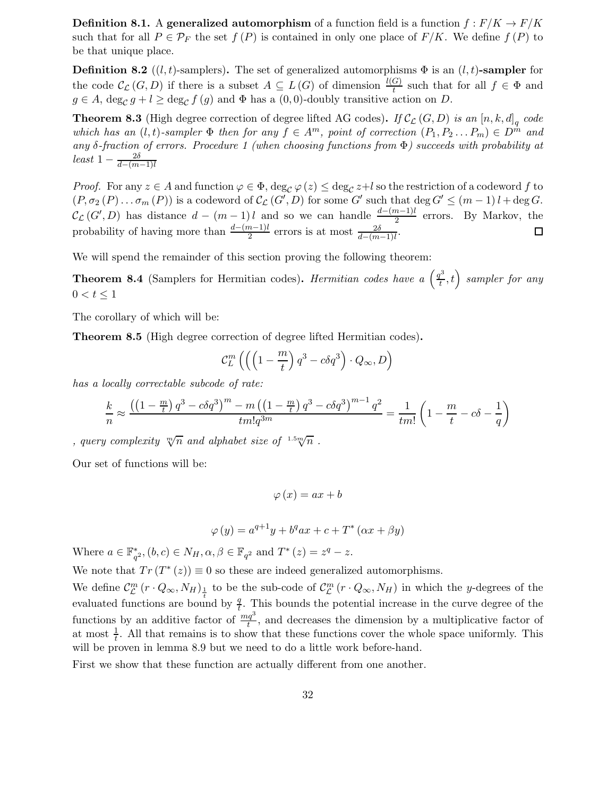**Definition 8.1.** A generalized automorphism of a function field is a function  $f : F/K \to F/K$ such that for all  $P \in \mathcal{P}_F$  the set  $f(P)$  is contained in only one place of  $F/K$ . We define  $f(P)$  to be that unique place.

**Definition 8.2** ((l, t)-samplers). The set of generalized automorphisms  $\Phi$  is an (l, t)-sampler for the code  $\mathcal{C}_{\mathcal{L}}(G, D)$  if there is a subset  $A \subseteq L(G)$  of dimension  $\frac{l(G)}{t}$  such that for all  $f \in \Phi$  and  $g \in A$ ,  $\deg_{\mathcal{C}} g + l \ge \deg_{\mathcal{C}} f(g)$  and  $\Phi$  has a  $(0,0)$ -doubly transitive action on D.

**Theorem 8.3** (High degree correction of degree lifted AG codes). If  $\mathcal{C}_{\mathcal{L}}(G, D)$  is an  $[n, k, d]_q$  code which has an  $(l, t)$ -sampler  $\Phi$  then for any  $f \in A^m$ , point of correction  $(P_1, P_2 \dots P_m) \in D^{\hat{m}}$  and any δ-fraction of errors. Procedure 1 (when choosing functions from Φ) succeeds with probability at  $least\ 1-\frac{2\delta}{d-(m-1)l}$ 

*Proof.* For any  $z \in A$  and function  $\varphi \in \Phi$ ,  $\deg_{\mathcal{C}} \varphi(z) \leq \deg_{\mathcal{C}} z + l$  so the restriction of a codeword f to  $(P, \sigma_2(P) \dots \sigma_m(P))$  is a codeword of  $\mathcal{C}_{\mathcal{L}}(G', D)$  for some G' such that  $\deg G' \leq (m-1)l + \deg G$ .  $\mathcal{C}_{\mathcal{L}}(G', D)$  has distance  $d - (m-1)l$  and so we can handle  $\frac{d-(m-1)l}{2}$  errors. By Markov, the probability of having more than  $\frac{d-(m-1)l}{2}$  errors is at most  $\frac{2\delta}{d-(m-1)l}$ .

We will spend the remainder of this section proving the following theorem:

**Theorem 8.4** (Samplers for Hermitian codes). Hermitian codes have a  $\left(\frac{q^3}{l}\right)$  $\left(t^3\over t,t\right)$  sampler for any  $0 < t \leq 1$ 

The corollary of which will be:

Theorem 8.5 (High degree correction of degree lifted Hermitian codes).

$$
\mathcal{C}_L^m \left( \left( \left( 1 - \frac{m}{t} \right) q^3 - c \delta q^3 \right) \cdot Q_\infty, D \right)
$$

has a locally correctable subcode of rate:

$$
\frac{k}{n} \approx \frac{\left(\left(1 - \frac{m}{t}\right)q^3 - c\delta q^3\right)^m - m\left(\left(1 - \frac{m}{t}\right)q^3 - c\delta q^3\right)^{m-1}q^2}{tm!q^{3m}} = \frac{1}{tm!}\left(1 - \frac{m}{t} - c\delta - \frac{1}{q}\right)
$$

, query complexity  $\sqrt[m]{n}$  and alphabet size of  $1.5\sqrt[m]{n}$ .

Our set of functions will be:

$$
\varphi\left(x\right) = ax + b
$$

$$
\varphi(y) = a^{q+1}y + b^qax + c + T^*(\alpha x + \beta y)
$$

Where  $a \in \mathbb{F}_{q^2}^*$ ,  $(b, c) \in N_H$ ,  $\alpha, \beta \in \mathbb{F}_{q^2}$  and  $T^*(z) = z^q - z$ .

We note that  $Tr(T^*(z)) \equiv 0$  so these are indeed generalized automorphisms.

We define  $\mathcal{C}_{\mathcal{L}}^{m}(r \cdot Q_{\infty}, N_H)_{\frac{1}{r}}$  to be the sub-code of  $\mathcal{C}_{\mathcal{L}}^{m}(r \cdot Q_{\infty}, N_H)$  in which the y-degrees of the evaluated functions are bound by  $\frac{q}{t}$ . This bounds the potential increase in the curve degree of the functions by an additive factor of  $\frac{mq^3}{t}$ , and decreases the dimension by a multiplicative factor of at most  $\frac{1}{t}$ . All that remains is to show that these functions cover the whole space uniformly. This will be proven in lemma 8.9 but we need to do a little work before-hand.

First we show that these function are actually different from one another.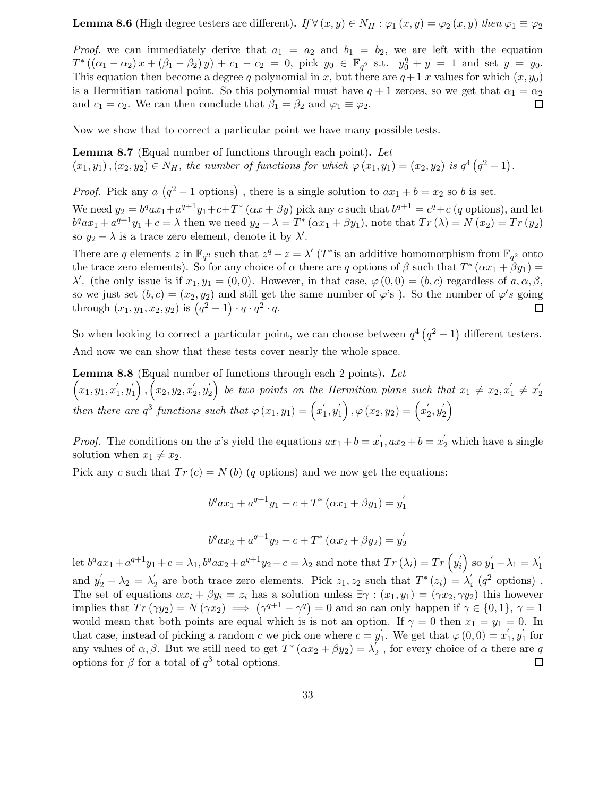**Lemma 8.6** (High degree testers are different). If  $\forall (x, y) \in N_H : \varphi_1(x, y) = \varphi_2(x, y)$  then  $\varphi_1 \equiv \varphi_2$ 

*Proof.* we can immediately derive that  $a_1 = a_2$  and  $b_1 = b_2$ , we are left with the equation  $T^* ((\alpha_1 - \alpha_2) x + (\beta_1 - \beta_2) y) + c_1 - c_2 = 0$ , pick  $y_0 \in \mathbb{F}_{q^2}$  s.t.  $y_0^q + y = 1$  and set  $y = y_0$ . This equation then become a degree q polynomial in x, but there are  $q+1$  x values for which  $(x, y_0)$ is a Hermitian rational point. So this polynomial must have  $q + 1$  zeroes, so we get that  $\alpha_1 = \alpha_2$ and  $c_1 = c_2$ . We can then conclude that  $\beta_1 = \beta_2$  and  $\varphi_1 \equiv \varphi_2$ .  $\Box$ 

Now we show that to correct a particular point we have many possible tests.

**Lemma 8.7** (Equal number of functions through each point). Let  $(x_1, y_1), (x_2, y_2) \in N_H$ , the number of functions for which  $\varphi(x_1, y_1) = (x_2, y_2)$  is  $q^4 (q^2 - 1)$ .

*Proof.* Pick any  $a\left(q^2-1\right)$  options), there is a single solution to  $ax_1 + b = x_2$  so b is set.

We need  $y_2 = b^q a x_1 + a^{q+1} y_1 + c + T^* (\alpha x + \beta y)$  pick any c such that  $b^{q+1} = c^q + c$  (q options), and let  $b^qax_1 + a^{q+1}y_1 + c = \lambda$  then we need  $y_2 - \lambda = T^* (\alpha x_1 + \beta y_1)$ , note that  $Tr(\lambda) = N(x_2) = Tr(y_2)$ so  $y_2 - \lambda$  is a trace zero element, denote it by  $\lambda'$ .

There are q elements z in  $\mathbb{F}_{q^2}$  such that  $z^q - z = \lambda'$  (T<sup>\*</sup> is an additive homomorphism from  $\mathbb{F}_{q^2}$  onto the trace zero elements). So for any choice of  $\alpha$  there are q options of  $\beta$  such that  $T^*(\alpha x_1 + \beta y_1) =$ λ'. (the only issue is if  $x_1, y_1 = (0, 0)$ . However, in that case,  $\varphi(0, 0) = (b, c)$  regardless of  $a, \alpha, \beta$ , so we just set  $(b, c) = (x_2, y_2)$  and still get the same number of  $\varphi$ 's). So the number of  $\varphi$ 's going through  $(x_1, y_1, x_2, y_2)$  is  $(q^2 - 1) \cdot q \cdot q^2 \cdot q$ . П

So when looking to correct a particular point, we can choose between  $q^4 (q^2 - 1)$  different testers. And now we can show that these tests cover nearly the whole space.

Lemma 8.8 (Equal number of functions through each 2 points). Let  $(x_1, y_1, x_1')$  $'_{1}, y'_{1}$  $\left( \begin{matrix} 1\ 1 \end{matrix} \right), \left( x_2, y_2, x_2' \right)$  $y_2', y_2'$  $\binom{1}{2}$  be two points on the Hermitian plane such that  $x_1 \neq x_2, x_1'$  $y'_{1} \neq x'_{2}$ 2 then there are  $q^3$  functions such that  $\varphi(x_1, y_1) = \left(x'_1\right)$  $'_{1}, y'_{1}$  $\left\langle \begin{smallmatrix} 1\1 \end{smallmatrix} \right\rangle ,\varphi \left( x_{2},y_{2}\right) =\left( x_{2}^{ \prime }\right)$  $y'_{2}, y'_{2}$  $\binom{1}{2}$ 

*Proof.* The conditions on the x's yield the equations  $ax_1 + b = x_1'$  $x'_1$ ,  $ax_2 + b = x'_2$  which have a single solution when  $x_1 \neq x_2$ .

Pick any c such that  $Tr(c) = N(b)$  (q options) and we now get the equations:

$$
b^{q}ax_{1} + a^{q+1}y_{1} + c + T^{*}(ax_{1} + \beta y_{1}) = y_{1}^{'}
$$

$$
b^{q}ax_{2} + a^{q+1}y_{2} + c + T^{*}(ax_{2} + \beta y_{2}) = y_{2}'
$$

let  $b^q a x_1 + a^{q+1} y_1 + c = \lambda_1, b^q a x_2 + a^{q+1} y_2 + c = \lambda_2$  and note that  $Tr(\lambda_i) = Tr(y'_i)$  $y'_i$  so  $y'_1 - \lambda_1 = \lambda'_1$ 1 and  $y'_2 - \lambda_2 = \lambda'_2$ <sup>'</sup><sub>2</sub> are both trace zero elements. Pick  $z_1, z_2$  such that  $T^*(z_i) = \lambda'_i$  $i \left( q^2 \text{ options} \right)$ , The set of equations  $\alpha x_i + \beta y_i = z_i$  has a solution unless  $\exists \gamma : (x_1, y_1) = (\gamma x_2, \gamma y_2)$  this however implies that  $Tr(\gamma y_2) = N(\gamma x_2) \implies (\gamma^{q+1} - \gamma^q) = 0$  and so can only happen if  $\gamma \in \{0, 1\}, \gamma = 1$ would mean that both points are equal which is is not an option. If  $\gamma = 0$  then  $x_1 = y_1 = 0$ . In that case, instead of picking a random c we pick one where  $c = y_1'$ <sup>'</sup><sub>1</sub>. We get that  $\varphi(0,0) = x'_1$  $'_{1}, y'_{1}$  $\int_1$  for any values of  $\alpha, \beta$ . But we still need to get  $T^*(\alpha x_2 + \beta y_2) = \lambda_2^{\prime}$  $_2^{'}$ , for every choice of  $\alpha$  there are  $q$ options for  $\beta$  for a total of  $q^3$  total options.  $\Box$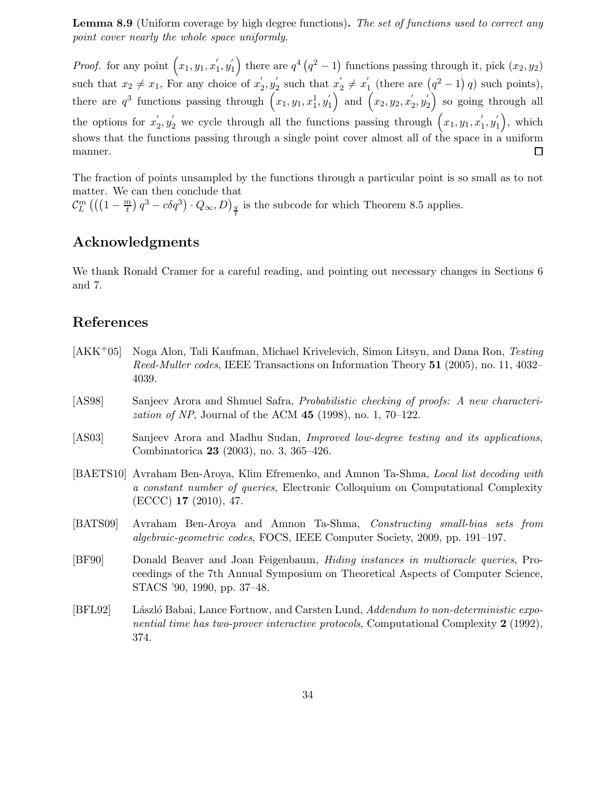Lemma 8.9 (Uniform coverage by high degree functions). The set of functions used to correct any point cover nearly the whole space uniformly.

*Proof.* for any point  $(x_1, y_1, x_1)$  $\binom{1}{1}$  there are  $q^4 (q^2 - 1)$  functions passing through it, pick  $(x_2, y_2)$  $'_{1}, y'_{1}$ such that  $x_2 \neq x_1$ , For any choice of  $x'_2$  $y'_{2}, y'_{2}$  $y'_2$  such that  $x'_2$  $y'_{2} \neq x'_{1}$  $\int_{1}^{1}$  (there are  $(q^2-1)$  q) such points), there are  $q^3$  functions passing through  $(x_1, y_1, x_1^1, y_1^{\prime})$  $\binom{1}{1}$  and  $\left(x_2,y_2,x_2'\right)$  $y'_{2}, y'_{2}$  $\binom{1}{2}$  so going through all  $y_2', y_2'$  we cycle through all the functions passing through  $(x_1, y_1, x_1')$  $\binom{1}{1}$ , which the options for  $x'_2$  $'_{1}, y'_{1}$ shows that the functions passing through a single point cover almost all of the space in a uniform manner.  $\Box$ 

The fraction of points unsampled by the functions through a particular point is so small as to not matter. We can then conclude that

 $\mathcal{C}_L^m$   $\left(\left(\left(1-\frac{m}{t}\right) \right.$  $\left(\frac{n}{t}\right)q^3 - c\delta q^3\right) \cdot Q_{\infty}, D)_{\frac{q}{t}}$  is the subcode for which Theorem 8.5 applies.

## Acknowledgments

We thank Ronald Cramer for a careful reading, and pointing out necessary changes in Sections 6 and 7.

## References

- [AKK+05] Noga Alon, Tali Kaufman, Michael Krivelevich, Simon Litsyn, and Dana Ron, Testing Reed-Muller codes, IEEE Transactions on Information Theory 51 (2005), no. 11, 4032– 4039.
- [AS98] Sanjeev Arora and Shmuel Safra, Probabilistic checking of proofs: A new characteri*zation of NP*, Journal of the ACM  $45$  (1998), no. 1, 70–122.
- [AS03] Sanjeev Arora and Madhu Sudan, Improved low-degree testing and its applications, Combinatorica 23 (2003), no. 3, 365–426.
- [BAETS10] Avraham Ben-Aroya, Klim Efremenko, and Amnon Ta-Shma, Local list decoding with a constant number of queries, Electronic Colloquium on Computational Complexity (ECCC) 17 (2010), 47.
- [BATS09] Avraham Ben-Aroya and Amnon Ta-Shma, Constructing small-bias sets from algebraic-geometric codes, FOCS, IEEE Computer Society, 2009, pp. 191–197.
- [BF90] Donald Beaver and Joan Feigenbaum, Hiding instances in multioracle queries, Proceedings of the 7th Annual Symposium on Theoretical Aspects of Computer Science, STACS '90, 1990, pp. 37–48.
- [BFL92] László Babai, Lance Fortnow, and Carsten Lund, Addendum to non-deterministic exponential time has two-prover interactive protocols, Computational Complexity 2 (1992), 374.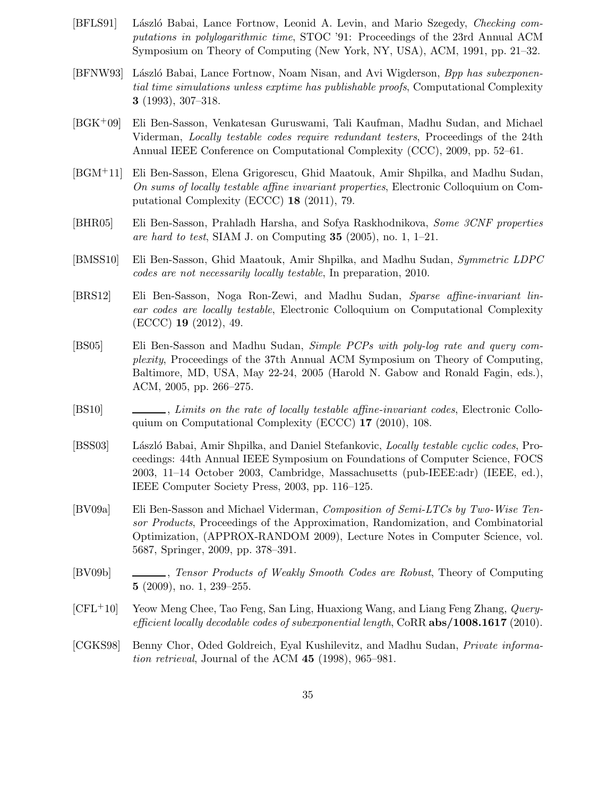- [BFLS91] László Babai, Lance Fortnow, Leonid A. Levin, and Mario Szegedy, Checking computations in polylogarithmic time, STOC '91: Proceedings of the 23rd Annual ACM Symposium on Theory of Computing (New York, NY, USA), ACM, 1991, pp. 21–32.
- [BFNW93] László Babai, Lance Fortnow, Noam Nisan, and Avi Wigderson, Bpp has subexponential time simulations unless exptime has publishable proofs, Computational Complexity 3 (1993), 307–318.
- [BGK+09] Eli Ben-Sasson, Venkatesan Guruswami, Tali Kaufman, Madhu Sudan, and Michael Viderman, Locally testable codes require redundant testers, Proceedings of the 24th Annual IEEE Conference on Computational Complexity (CCC), 2009, pp. 52–61.
- [BGM+11] Eli Ben-Sasson, Elena Grigorescu, Ghid Maatouk, Amir Shpilka, and Madhu Sudan, On sums of locally testable affine invariant properties, Electronic Colloquium on Computational Complexity (ECCC) 18 (2011), 79.
- [BHR05] Eli Ben-Sasson, Prahladh Harsha, and Sofya Raskhodnikova, Some 3CNF properties are hard to test, SIAM J. on Computing  $35$  (2005), no. 1, 1–21.
- [BMSS10] Eli Ben-Sasson, Ghid Maatouk, Amir Shpilka, and Madhu Sudan, Symmetric LDPC codes are not necessarily locally testable, In preparation, 2010.
- [BRS12] Eli Ben-Sasson, Noga Ron-Zewi, and Madhu Sudan, Sparse affine-invariant linear codes are locally testable, Electronic Colloquium on Computational Complexity (ECCC) 19 (2012), 49.
- [BS05] Eli Ben-Sasson and Madhu Sudan, Simple PCPs with poly-log rate and query complexity, Proceedings of the 37th Annual ACM Symposium on Theory of Computing, Baltimore, MD, USA, May 22-24, 2005 (Harold N. Gabow and Ronald Fagin, eds.), ACM, 2005, pp. 266–275.
- [BS10] , Limits on the rate of locally testable affine-invariant codes, Electronic Colloquium on Computational Complexity (ECCC) 17 (2010), 108.
- [BSS03] László Babai, Amir Shpilka, and Daniel Stefankovic, *Locally testable cyclic codes*, Proceedings: 44th Annual IEEE Symposium on Foundations of Computer Science, FOCS 2003, 11–14 October 2003, Cambridge, Massachusetts (pub-IEEE:adr) (IEEE, ed.), IEEE Computer Society Press, 2003, pp. 116–125.
- [BV09a] Eli Ben-Sasson and Michael Viderman, Composition of Semi-LTCs by Two-Wise Tensor Products, Proceedings of the Approximation, Randomization, and Combinatorial Optimization, (APPROX-RANDOM 2009), Lecture Notes in Computer Science, vol. 5687, Springer, 2009, pp. 378–391.
- [BV09b] , Tensor Products of Weakly Smooth Codes are Robust, Theory of Computing 5 (2009), no. 1, 239–255.
- [CFL+10] Yeow Meng Chee, Tao Feng, San Ling, Huaxiong Wang, and Liang Feng Zhang, Queryefficient locally decodable codes of subexponential length, CoRR  $abs/1008.1617$  (2010).
- [CGKS98] Benny Chor, Oded Goldreich, Eyal Kushilevitz, and Madhu Sudan, Private information retrieval, Journal of the ACM 45 (1998), 965–981.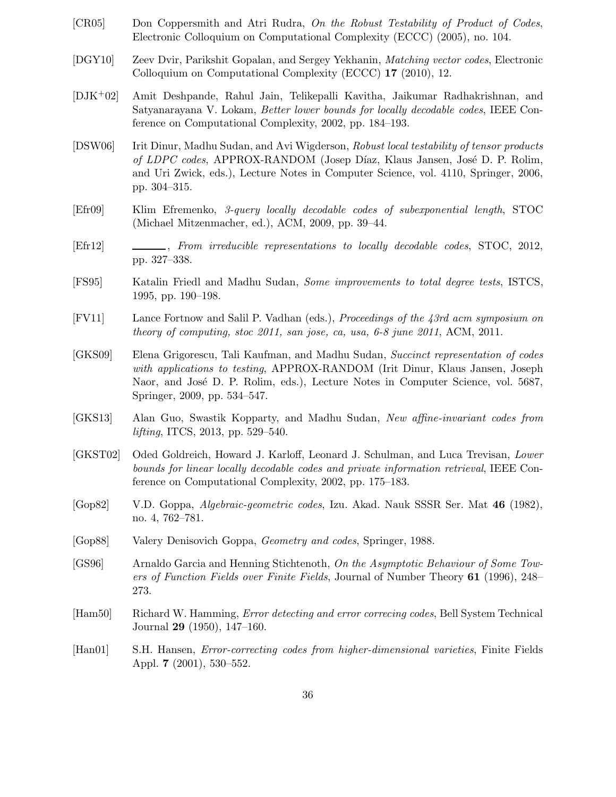- [CR05] Don Coppersmith and Atri Rudra, On the Robust Testability of Product of Codes, Electronic Colloquium on Computational Complexity (ECCC) (2005), no. 104.
- [DGY10] Zeev Dvir, Parikshit Gopalan, and Sergey Yekhanin, Matching vector codes, Electronic Colloquium on Computational Complexity (ECCC) 17 (2010), 12.
- [DJK+02] Amit Deshpande, Rahul Jain, Telikepalli Kavitha, Jaikumar Radhakrishnan, and Satyanarayana V. Lokam, Better lower bounds for locally decodable codes, IEEE Conference on Computational Complexity, 2002, pp. 184–193.
- [DSW06] Irit Dinur, Madhu Sudan, and Avi Wigderson, Robust local testability of tensor products of LDPC codes, APPROX-RANDOM (Josep Díaz, Klaus Jansen, José D. P. Rolim, and Uri Zwick, eds.), Lecture Notes in Computer Science, vol. 4110, Springer, 2006, pp. 304–315.
- [Efr09] Klim Efremenko, 3-query locally decodable codes of subexponential length, STOC (Michael Mitzenmacher, ed.), ACM, 2009, pp. 39–44.
- [Efr12] , From irreducible representations to locally decodable codes, STOC, 2012, pp. 327–338.
- [FS95] Katalin Friedl and Madhu Sudan, Some improvements to total degree tests, ISTCS, 1995, pp. 190–198.
- [FV11] Lance Fortnow and Salil P. Vadhan (eds.), Proceedings of the 43rd acm symposium on theory of computing, stoc 2011, san jose, ca, usa, 6-8 june 2011, ACM, 2011.
- [GKS09] Elena Grigorescu, Tali Kaufman, and Madhu Sudan, Succinct representation of codes with applications to testing, APPROX-RANDOM (Irit Dinur, Klaus Jansen, Joseph Naor, and José D. P. Rolim, eds.), Lecture Notes in Computer Science, vol. 5687, Springer, 2009, pp. 534–547.
- [GKS13] Alan Guo, Swastik Kopparty, and Madhu Sudan, New affine-invariant codes from lifting, ITCS, 2013, pp. 529–540.
- [GKST02] Oded Goldreich, Howard J. Karloff, Leonard J. Schulman, and Luca Trevisan, Lower bounds for linear locally decodable codes and private information retrieval, IEEE Conference on Computational Complexity, 2002, pp. 175–183.
- [Gop82] V.D. Goppa, Algebraic-geometric codes, Izu. Akad. Nauk SSSR Ser. Mat 46 (1982), no. 4, 762–781.
- [Gop88] Valery Denisovich Goppa, Geometry and codes, Springer, 1988.
- [GS96] Arnaldo Garcia and Henning Stichtenoth, On the Asymptotic Behaviour of Some Towers of Function Fields over Finite Fields, Journal of Number Theory 61 (1996), 248– 273.
- [Ham50] Richard W. Hamming, Error detecting and error correcing codes, Bell System Technical Journal 29 (1950), 147–160.
- [Han01] S.H. Hansen, Error-correcting codes from higher-dimensional varieties, Finite Fields Appl. 7 (2001), 530–552.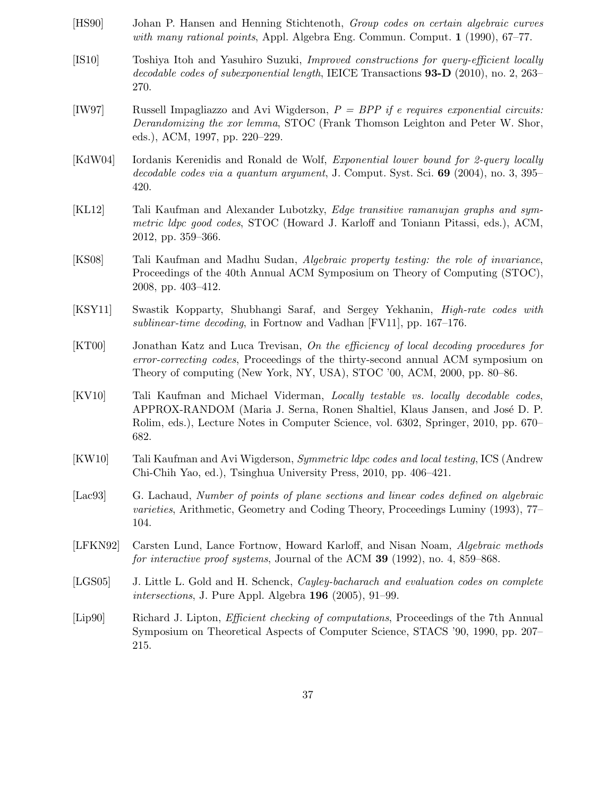- [HS90] Johan P. Hansen and Henning Stichtenoth, Group codes on certain algebraic curves with many rational points, Appl. Algebra Eng. Commun. Comput. 1 (1990), 67–77.
- [IS10] Toshiya Itoh and Yasuhiro Suzuki, Improved constructions for query-efficient locally decodable codes of subexponential length, IEICE Transactions 93-D (2010), no. 2, 263– 270.
- [IW97] Russell Impagliazzo and Avi Wigderson,  $P = BPP$  if e requires exponential circuits: Derandomizing the xor lemma, STOC (Frank Thomson Leighton and Peter W. Shor, eds.), ACM, 1997, pp. 220–229.
- [KdW04] Iordanis Kerenidis and Ronald de Wolf, *Exponential lower bound for 2-query locally* decodable codes via a quantum argument, J. Comput. Syst. Sci. 69 (2004), no. 3, 395– 420.
- [KL12] Tali Kaufman and Alexander Lubotzky, Edge transitive ramanujan graphs and symmetric ldpc good codes, STOC (Howard J. Karloff and Toniann Pitassi, eds.), ACM, 2012, pp. 359–366.
- [KS08] Tali Kaufman and Madhu Sudan, Algebraic property testing: the role of invariance, Proceedings of the 40th Annual ACM Symposium on Theory of Computing (STOC), 2008, pp. 403–412.
- [KSY11] Swastik Kopparty, Shubhangi Saraf, and Sergey Yekhanin, High-rate codes with sublinear-time decoding, in Fortnow and Vadhan [FV11], pp. 167–176.
- [KT00] Jonathan Katz and Luca Trevisan, On the efficiency of local decoding procedures for error-correcting codes, Proceedings of the thirty-second annual ACM symposium on Theory of computing (New York, NY, USA), STOC '00, ACM, 2000, pp. 80–86.
- [KV10] Tali Kaufman and Michael Viderman, Locally testable vs. locally decodable codes, APPROX-RANDOM (Maria J. Serna, Ronen Shaltiel, Klaus Jansen, and José D. P. Rolim, eds.), Lecture Notes in Computer Science, vol. 6302, Springer, 2010, pp. 670– 682.
- [KW10] Tali Kaufman and Avi Wigderson, Symmetric ldpc codes and local testing, ICS (Andrew Chi-Chih Yao, ed.), Tsinghua University Press, 2010, pp. 406–421.
- [Lac93] G. Lachaud, Number of points of plane sections and linear codes defined on algebraic varieties, Arithmetic, Geometry and Coding Theory, Proceedings Luminy (1993), 77– 104.
- [LFKN92] Carsten Lund, Lance Fortnow, Howard Karloff, and Nisan Noam, Algebraic methods for interactive proof systems, Journal of the ACM 39 (1992), no. 4, 859–868.
- [LGS05] J. Little L. Gold and H. Schenck, *Cayley-bacharach and evaluation codes on complete* intersections, J. Pure Appl. Algebra 196 (2005), 91–99.
- [Lip90] Richard J. Lipton, Efficient checking of computations, Proceedings of the 7th Annual Symposium on Theoretical Aspects of Computer Science, STACS '90, 1990, pp. 207– 215.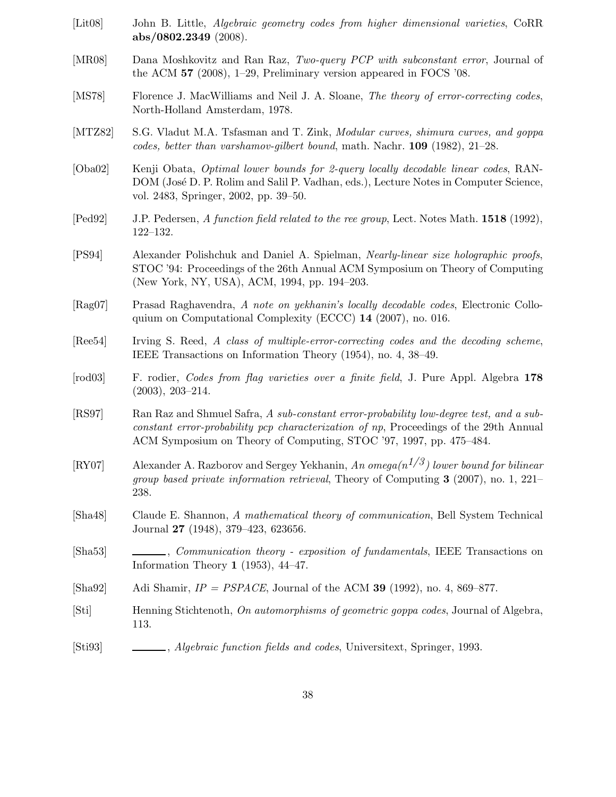- [Lit08] John B. Little, Algebraic geometry codes from higher dimensional varieties, CoRR abs/0802.2349 (2008).
- [MR08] Dana Moshkovitz and Ran Raz, Two-query PCP with subconstant error, Journal of the ACM 57 (2008), 1–29, Preliminary version appeared in FOCS '08.
- [MS78] Florence J. MacWilliams and Neil J. A. Sloane, The theory of error-correcting codes, North-Holland Amsterdam, 1978.
- [MTZ82] S.G. Vladut M.A. Tsfasman and T. Zink, *Modular curves, shimura curves, and goppa* codes, better than varshamov-gilbert bound, math. Nachr. 109 (1982), 21–28.
- [Oba02] Kenji Obata, Optimal lower bounds for 2-query locally decodable linear codes, RAN-DOM (José D. P. Rolim and Salil P. Vadhan, eds.), Lecture Notes in Computer Science, vol. 2483, Springer, 2002, pp. 39–50.
- [Ped92] J.P. Pedersen, A function field related to the ree group, Lect. Notes Math. 1518 (1992), 122–132.
- [PS94] Alexander Polishchuk and Daniel A. Spielman, Nearly-linear size holographic proofs, STOC '94: Proceedings of the 26th Annual ACM Symposium on Theory of Computing (New York, NY, USA), ACM, 1994, pp. 194–203.
- [Rag07] Prasad Raghavendra, A note on yekhanin's locally decodable codes, Electronic Colloquium on Computational Complexity (ECCC) 14 (2007), no. 016.
- [Ree54] Irving S. Reed, A class of multiple-error-correcting codes and the decoding scheme, IEEE Transactions on Information Theory (1954), no. 4, 38–49.
- [rod03] F. rodier, Codes from flag varieties over a finite field, J. Pure Appl. Algebra 178 (2003), 203–214.
- [RS97] Ran Raz and Shmuel Safra, A sub-constant error-probability low-degree test, and a subconstant error-probability pcp characterization of np, Proceedings of the 29th Annual ACM Symposium on Theory of Computing, STOC '97, 1997, pp. 475–484.
- [RY07] Alexander A. Razborov and Sergey Yekhanin, An omega $(n^{1/3})$  lower bound for bilinear *group based private information retrieval*. Theory of Computing  $3$  (2007), no. 1, 221– 238.
- [Sha48] Claude E. Shannon, A mathematical theory of communication, Bell System Technical Journal 27 (1948), 379–423, 623656.
- [Sha53] , Communication theory exposition of fundamentals, IEEE Transactions on Information Theory 1 (1953), 44–47.
- [Sha92] Adi Shamir,  $IP = PSPACE$ , Journal of the ACM 39 (1992), no. 4, 869–877.
- [Sti] Henning Stichtenoth, On automorphisms of geometric goppa codes, Journal of Algebra, 113.
- [Sti93] , Algebraic function fields and codes, Universitext, Springer, 1993.